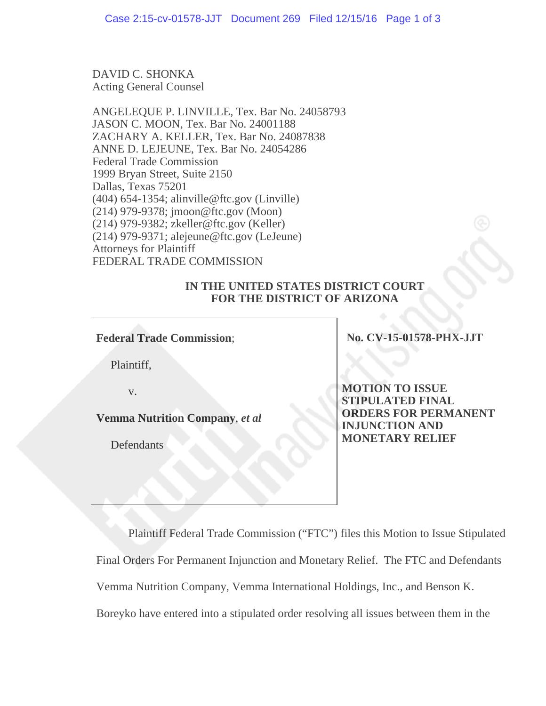DAVID C. SHONKA Acting General Counsel

ANGELEQUE P. LINVILLE, Tex. Bar No. 24058793 JASON C. MOON, Tex. Bar No. 24001188 ZACHARY A. KELLER, Tex. Bar No. 24087838 ANNE D. LEJEUNE, Tex. Bar No. 24054286 Federal Trade Commission 1999 Bryan Street, Suite 2150 Dallas, Texas 75201 (404) 654-1354; alinville@ftc.gov (Linville) (214) 979-9378; jmoon@ftc.gov (Moon) (214) 979-9382; zkeller@ftc.gov (Keller) (214) 979-9371; alejeune@ftc.gov (LeJeune) Attorneys for Plaintiff FEDERAL TRADE COMMISSION

## **IN THE UNITED STATES DISTRICT COURT FOR THE DISTRICT OF ARIZONA**

**Federal Trade Commission**;

Plaintiff,

v.

**Vemma Nutrition Company**, *et al*

**Defendants** 

**No. CV-15-01578-PHX-JJT** 

**MOTION TO ISSUE STIPULATED FINAL ORDERS FOR PERMANENT INJUNCTION AND MONETARY RELIEF** 

Plaintiff Federal Trade Commission ("FTC") files this Motion to Issue Stipulated Final Orders For Permanent Injunction and Monetary Relief. The FTC and Defendants Vemma Nutrition Company, Vemma International Holdings, Inc., and Benson K. Boreyko have entered into a stipulated order resolving all issues between them in the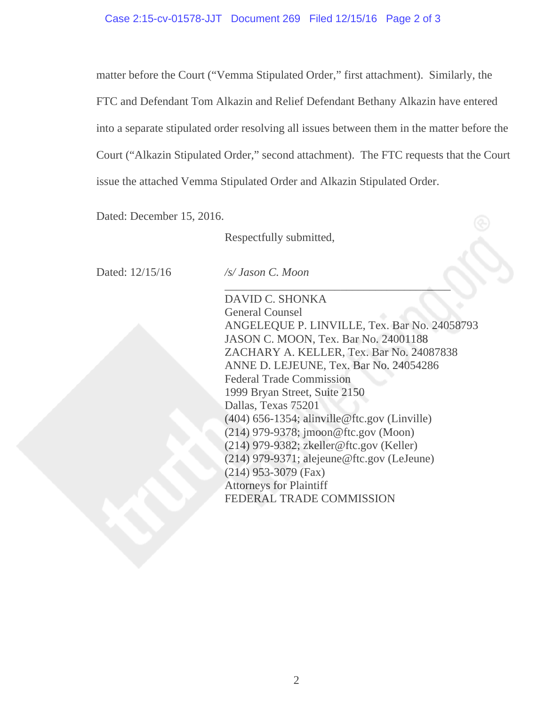matter before the Court ("Vemma Stipulated Order," first attachment). Similarly, the FTC and Defendant Tom Alkazin and Relief Defendant Bethany Alkazin have entered into a separate stipulated order resolving all issues between them in the matter before the Court ("Alkazin Stipulated Order," second attachment). The FTC requests that the Court issue the attached Vemma Stipulated Order and Alkazin Stipulated Order.

Dated: December 15, 2016.

Respectfully submitted,

Dated: 12/15/16 */s/ Jason C. Moon*

 $\mathcal{L}_\mathcal{L}$  , which is a set of the set of the set of the set of the set of the set of the set of the set of the set of the set of the set of the set of the set of the set of the set of the set of the set of the set of

 DAVID C. SHONKA General Counsel ANGELEQUE P. LINVILLE, Tex. Bar No. 24058793 JASON C. MOON, Tex. Bar No. 24001188 ZACHARY A. KELLER, Tex. Bar No. 24087838 ANNE D. LEJEUNE, Tex. Bar No. 24054286 Federal Trade Commission 1999 Bryan Street, Suite 2150 Dallas, Texas 75201 (404) 656-1354; alinville@ftc.gov (Linville) (214) 979-9378; jmoon@ftc.gov (Moon) (214) 979-9382; zkeller@ftc.gov (Keller) (214) 979-9371; alejeune@ftc.gov (LeJeune) (214) 953-3079 (Fax) Attorneys for Plaintiff FEDERAL TRADE COMMISSION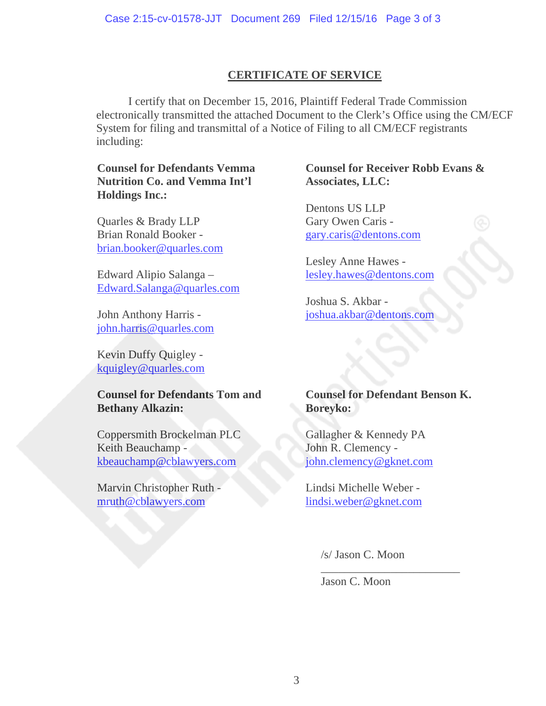# **CERTIFICATE OF SERVICE**

I certify that on December 15, 2016, Plaintiff Federal Trade Commission electronically transmitted the attached Document to the Clerk's Office using the CM/ECF System for filing and transmittal of a Notice of Filing to all CM/ECF registrants including:

# **Counsel for Defendants Vemma Nutrition Co. and Vemma Int'l Holdings Inc.:**

Quarles & Brady LLP Brian Ronald Booker brian.booker@quarles.com

Edward Alipio Salanga – Edward.Salanga@quarles.com

John Anthony Harris john.harris@quarles.com

Kevin Duffy Quigley kquigley@quarles.com

# **Counsel for Defendants Tom and Bethany Alkazin:**

Coppersmith Brockelman PLC Keith Beauchamp kbeauchamp@cblawyers.com

Marvin Christopher Ruth mruth@cblawyers.com

# **Counsel for Receiver Robb Evans & Associates, LLC:**

Dentons US LLP Gary Owen Caris gary.caris@dentons.com

Lesley Anne Hawes lesley.hawes@dentons.com

Joshua S. Akbar joshua.akbar@dentons.com

# **Counsel for Defendant Benson K. Boreyko:**

Gallagher & Kennedy PA John R. Clemency john.clemency@gknet.com

Lindsi Michelle Weber lindsi.weber@gknet.com

/s/ Jason C. Moon

\_\_\_\_\_\_\_\_\_\_\_\_\_\_\_\_\_\_\_\_\_\_\_\_

Jason C. Moon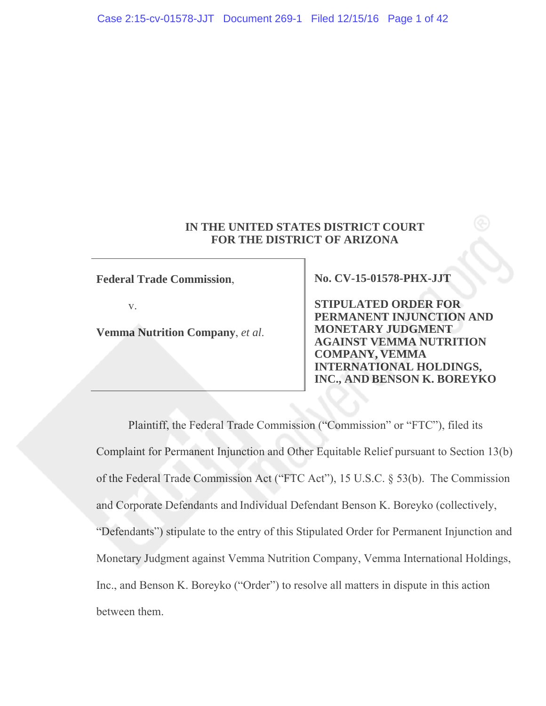## **IN THE UNITED STATES DISTRICT COURT FOR THE DISTRICT OF ARIZONA**

**Federal Trade Commission**,

v.

**Vemma Nutrition Company**, *et al*.

**No. CV-15-01578-PHX-JJT** 

**STIPULATED ORDER FOR PERMANENT INJUNCTION AND MONETARY JUDGMENT AGAINST VEMMA NUTRITION COMPANY, VEMMA INTERNATIONAL HOLDINGS, INC., AND BENSON K. BOREYKO** 

Plaintiff, the Federal Trade Commission ("Commission" or "FTC"), filed its Complaint for Permanent Injunction and Other Equitable Relief pursuant to Section 13(b) of the Federal Trade Commission Act ("FTC Act"), 15 U.S.C. § 53(b). The Commission and Corporate Defendants and Individual Defendant Benson K. Boreyko (collectively, "Defendants") stipulate to the entry of this Stipulated Order for Permanent Injunction and Monetary Judgment against Vemma Nutrition Company, Vemma International Holdings, Inc., and Benson K. Boreyko ("Order") to resolve all matters in dispute in this action between them.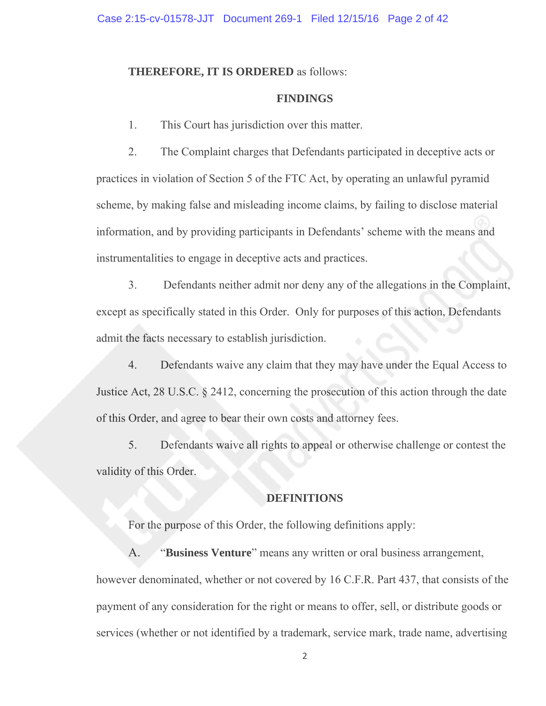## **THEREFORE, IT IS ORDERED** as follows:

## **FINDINGS**

1. This Court has jurisdiction over this matter.

2. The Complaint charges that Defendants participated in deceptive acts or practices in violation of Section 5 of the FTC Act, by operating an unlawful pyramid scheme, by making false and misleading income claims, by failing to disclose material information, and by providing participants in Defendants' scheme with the means and instrumentalities to engage in deceptive acts and practices.

3. Defendants neither admit nor deny any of the allegations in the Complaint, except as specifically stated in this Order. Only for purposes of this action, Defendants admit the facts necessary to establish jurisdiction.

4. Defendants waive any claim that they may have under the Equal Access to Justice Act, 28 U.S.C. § 2412, concerning the prosecution of this action through the date of this Order, and agree to bear their own costs and attorney fees.

5. Defendants waive all rights to appeal or otherwise challenge or contest the validity of this Order.

## **DEFINITIONS**

For the purpose of this Order, the following definitions apply:

A. "**Business Venture**" means any written or oral business arrangement, however denominated, whether or not covered by 16 C.F.R. Part 437, that consists of the payment of any consideration for the right or means to offer, sell, or distribute goods or services (whether or not identified by a trademark, service mark, trade name, advertising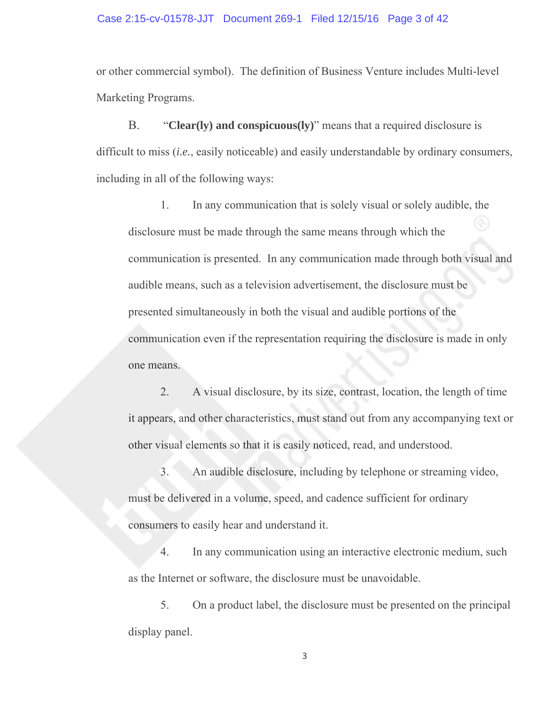#### Case 2:15-cv-01578-JJT Document 269-1 Filed 12/15/16 Page 3 of 42

or other commercial symbol). The definition of Business Venture includes Multi-level Marketing Programs.

B. "**Clear(ly) and conspicuous(ly)**" means that a required disclosure is difficult to miss (*i.e.*, easily noticeable) and easily understandable by ordinary consumers, including in all of the following ways:

1. In any communication that is solely visual or solely audible, the disclosure must be made through the same means through which the communication is presented. In any communication made through both visual and audible means, such as a television advertisement, the disclosure must be presented simultaneously in both the visual and audible portions of the communication even if the representation requiring the disclosure is made in only one means.

2. A visual disclosure, by its size, contrast, location, the length of time it appears, and other characteristics, must stand out from any accompanying text or other visual elements so that it is easily noticed, read, and understood.

3. An audible disclosure, including by telephone or streaming video, must be delivered in a volume, speed, and cadence sufficient for ordinary consumers to easily hear and understand it.

4. In any communication using an interactive electronic medium, such as the Internet or software, the disclosure must be unavoidable.

5. On a product label, the disclosure must be presented on the principal display panel.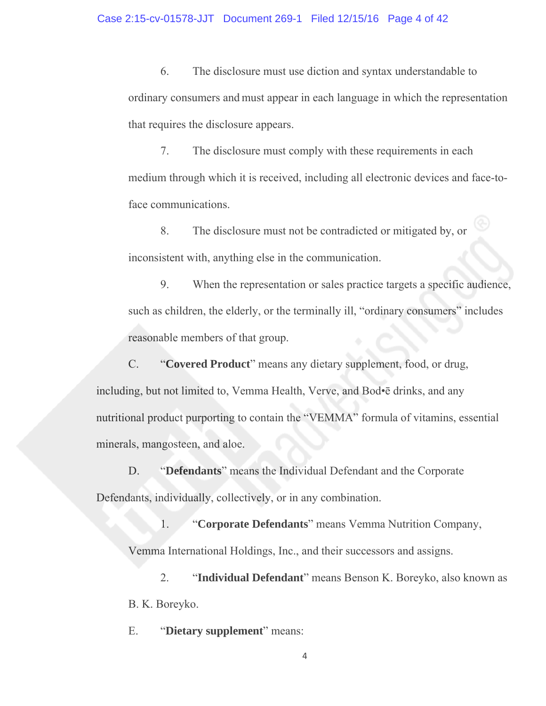6. The disclosure must use diction and syntax understandable to ordinary consumers and must appear in each language in which the representation that requires the disclosure appears.

7. The disclosure must comply with these requirements in each medium through which it is received, including all electronic devices and face-toface communications.

8. The disclosure must not be contradicted or mitigated by, or inconsistent with, anything else in the communication.

9. When the representation or sales practice targets a specific audience, such as children, the elderly, or the terminally ill, "ordinary consumers" includes reasonable members of that group.

C. "**Covered Product**" means any dietary supplement, food, or drug, including, but not limited to, Vemma Health, Verve, and Bod•ē drinks, and any nutritional product purporting to contain the "VEMMA" formula of vitamins, essential minerals, mangosteen, and aloe.

D. "**Defendants**" means the Individual Defendant and the Corporate Defendants, individually, collectively, or in any combination.

1. "**Corporate Defendants**" means Vemma Nutrition Company, Vemma International Holdings, Inc., and their successors and assigns.

2. "**Individual Defendant**" means Benson K. Boreyko, also known as B. K. Boreyko.

E. "**Dietary supplement**" means: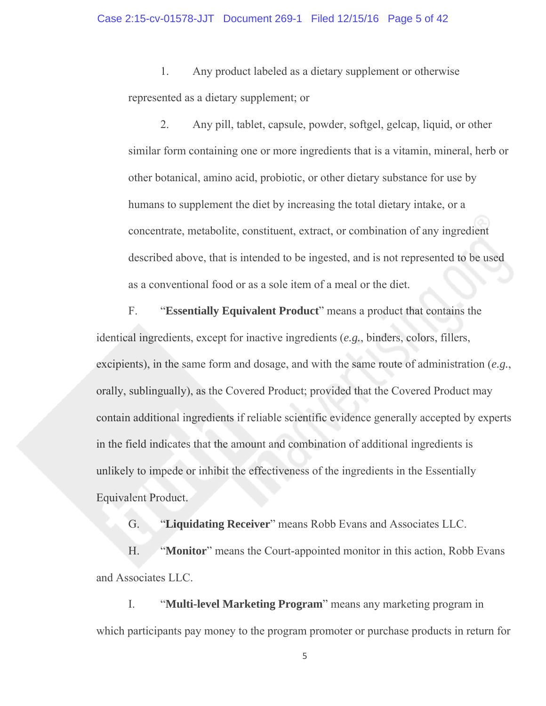1. Any product labeled as a dietary supplement or otherwise represented as a dietary supplement; or

2. Any pill, tablet, capsule, powder, softgel, gelcap, liquid, or other similar form containing one or more ingredients that is a vitamin, mineral, herb or other botanical, amino acid, probiotic, or other dietary substance for use by humans to supplement the diet by increasing the total dietary intake, or a concentrate, metabolite, constituent, extract, or combination of any ingredient described above, that is intended to be ingested, and is not represented to be used as a conventional food or as a sole item of a meal or the diet.

F. "**Essentially Equivalent Product**" means a product that contains the identical ingredients, except for inactive ingredients (*e.g.*, binders, colors, fillers, excipients), in the same form and dosage, and with the same route of administration (*e.g.*, orally, sublingually), as the Covered Product; provided that the Covered Product may contain additional ingredients if reliable scientific evidence generally accepted by experts in the field indicates that the amount and combination of additional ingredients is unlikely to impede or inhibit the effectiveness of the ingredients in the Essentially Equivalent Product.

G. "**Liquidating Receiver**" means Robb Evans and Associates LLC.

H. "**Monitor**" means the Court-appointed monitor in this action, Robb Evans and Associates LLC.

I. "**Multi-level Marketing Program**" means any marketing program in which participants pay money to the program promoter or purchase products in return for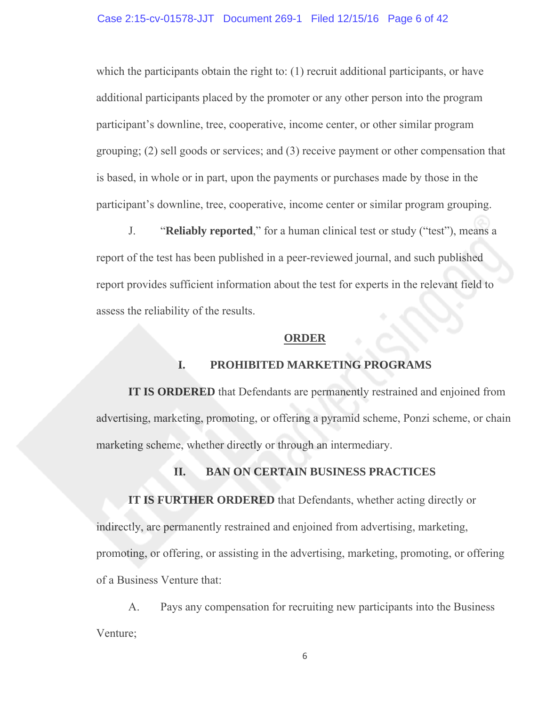which the participants obtain the right to: (1) recruit additional participants, or have additional participants placed by the promoter or any other person into the program participant's downline, tree, cooperative, income center, or other similar program grouping; (2) sell goods or services; and (3) receive payment or other compensation that is based, in whole or in part, upon the payments or purchases made by those in the participant's downline, tree, cooperative, income center or similar program grouping.

J. "**Reliably reported**," for a human clinical test or study ("test"), means a report of the test has been published in a peer-reviewed journal, and such published report provides sufficient information about the test for experts in the relevant field to assess the reliability of the results.

#### **ORDER**

## **I. PROHIBITED MARKETING PROGRAMS**

**IT IS ORDERED** that Defendants are permanently restrained and enjoined from advertising, marketing, promoting, or offering a pyramid scheme, Ponzi scheme, or chain marketing scheme, whether directly or through an intermediary.

# **II. BAN ON CERTAIN BUSINESS PRACTICES**

 **IT IS FURTHER ORDERED** that Defendants, whether acting directly or indirectly, are permanently restrained and enjoined from advertising, marketing, promoting, or offering, or assisting in the advertising, marketing, promoting, or offering of a Business Venture that:

A. Pays any compensation for recruiting new participants into the Business Venture;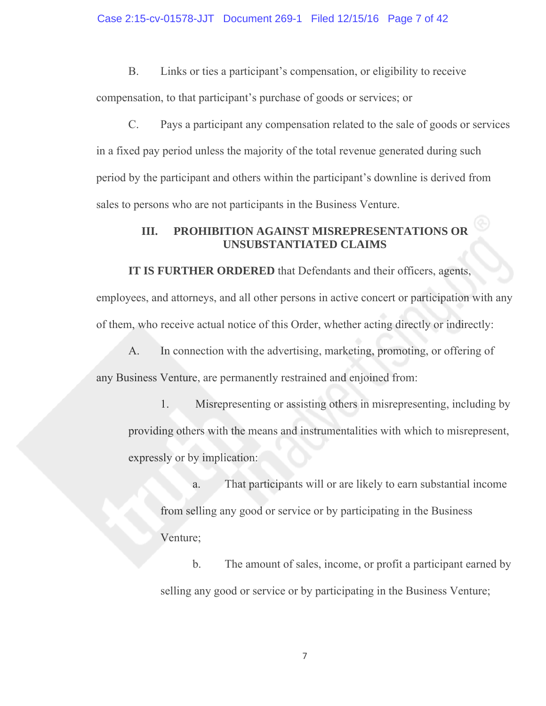B. Links or ties a participant's compensation, or eligibility to receive compensation, to that participant's purchase of goods or services; or

C. Pays a participant any compensation related to the sale of goods or services in a fixed pay period unless the majority of the total revenue generated during such period by the participant and others within the participant's downline is derived from sales to persons who are not participants in the Business Venture.

# **III. PROHIBITION AGAINST MISREPRESENTATIONS OR UNSUBSTANTIATED CLAIMS**

 **IT IS FURTHER ORDERED** that Defendants and their officers, agents,

employees, and attorneys, and all other persons in active concert or participation with any of them, who receive actual notice of this Order, whether acting directly or indirectly:

A. In connection with the advertising, marketing, promoting, or offering of any Business Venture, are permanently restrained and enjoined from:

1. Misrepresenting or assisting others in misrepresenting, including by providing others with the means and instrumentalities with which to misrepresent, expressly or by implication:

a. That participants will or are likely to earn substantial income from selling any good or service or by participating in the Business Venture;

 b. The amount of sales, income, or profit a participant earned by selling any good or service or by participating in the Business Venture;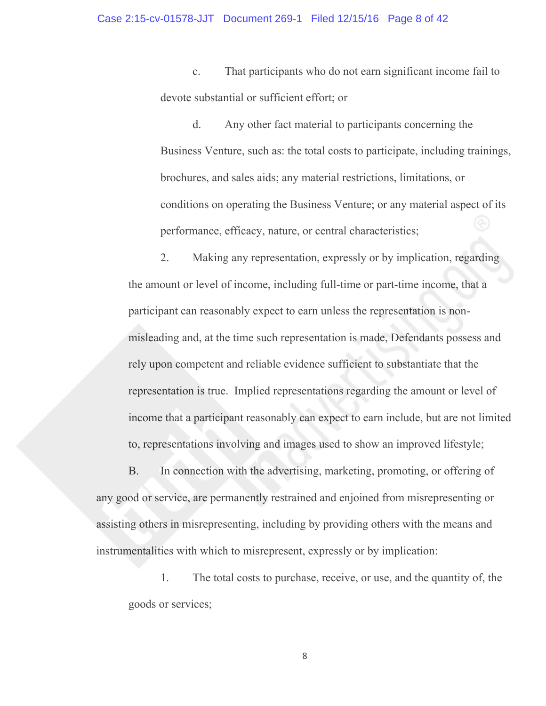#### Case 2:15-cv-01578-JJT Document 269-1 Filed 12/15/16 Page 8 of 42

c. That participants who do not earn significant income fail to devote substantial or sufficient effort; or

d. Any other fact material to participants concerning the Business Venture, such as: the total costs to participate, including trainings, brochures, and sales aids; any material restrictions, limitations, or conditions on operating the Business Venture; or any material aspect of its performance, efficacy, nature, or central characteristics;

 2. Making any representation, expressly or by implication, regarding the amount or level of income, including full-time or part-time income, that a participant can reasonably expect to earn unless the representation is nonmisleading and, at the time such representation is made, Defendants possess and rely upon competent and reliable evidence sufficient to substantiate that the representation is true. Implied representations regarding the amount or level of income that a participant reasonably can expect to earn include, but are not limited to, representations involving and images used to show an improved lifestyle;

 B. In connection with the advertising, marketing, promoting, or offering of any good or service, are permanently restrained and enjoined from misrepresenting or assisting others in misrepresenting, including by providing others with the means and instrumentalities with which to misrepresent, expressly or by implication:

1. The total costs to purchase, receive, or use, and the quantity of, the goods or services;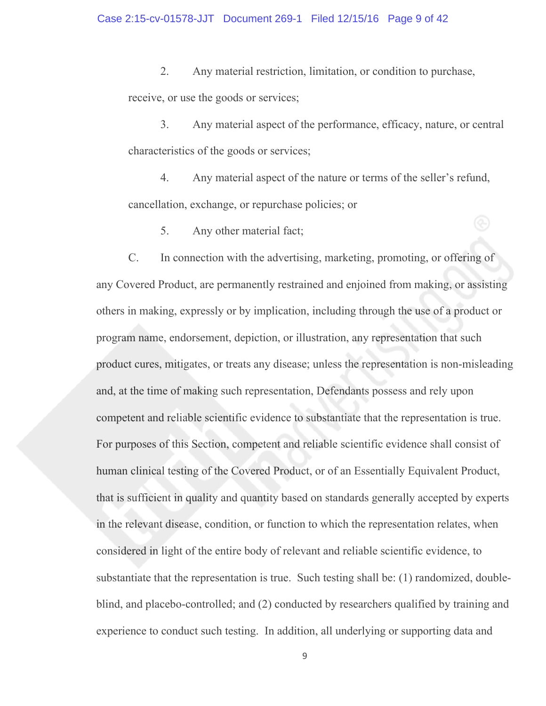2. Any material restriction, limitation, or condition to purchase, receive, or use the goods or services;

3. Any material aspect of the performance, efficacy, nature, or central characteristics of the goods or services;

4. Any material aspect of the nature or terms of the seller's refund, cancellation, exchange, or repurchase policies; or

5. Any other material fact;

 C. In connection with the advertising, marketing, promoting, or offering of any Covered Product, are permanently restrained and enjoined from making, or assisting others in making, expressly or by implication, including through the use of a product or program name, endorsement, depiction, or illustration, any representation that such product cures, mitigates, or treats any disease; unless the representation is non-misleading and, at the time of making such representation, Defendants possess and rely upon competent and reliable scientific evidence to substantiate that the representation is true. For purposes of this Section, competent and reliable scientific evidence shall consist of human clinical testing of the Covered Product, or of an Essentially Equivalent Product, that is sufficient in quality and quantity based on standards generally accepted by experts in the relevant disease, condition, or function to which the representation relates, when considered in light of the entire body of relevant and reliable scientific evidence, to substantiate that the representation is true. Such testing shall be: (1) randomized, doubleblind, and placebo-controlled; and (2) conducted by researchers qualified by training and experience to conduct such testing. In addition, all underlying or supporting data and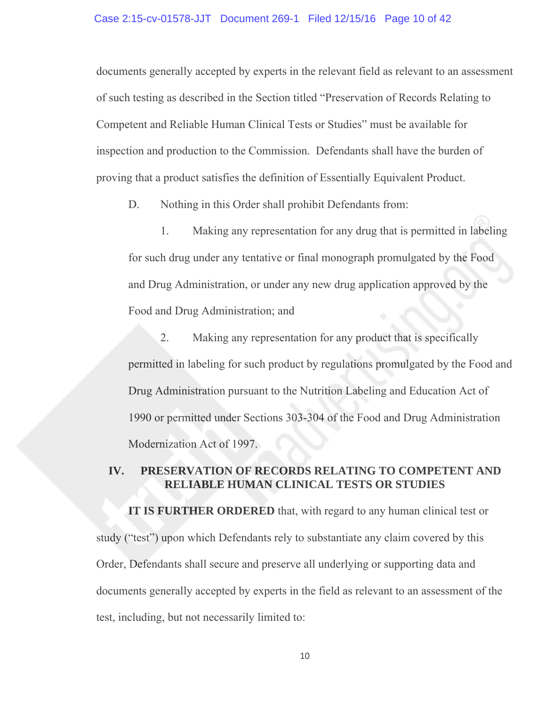#### Case 2:15-cv-01578-JJT Document 269-1 Filed 12/15/16 Page 10 of 42

documents generally accepted by experts in the relevant field as relevant to an assessment of such testing as described in the Section titled "Preservation of Records Relating to Competent and Reliable Human Clinical Tests or Studies" must be available for inspection and production to the Commission. Defendants shall have the burden of proving that a product satisfies the definition of Essentially Equivalent Product.

D. Nothing in this Order shall prohibit Defendants from:

1. Making any representation for any drug that is permitted in labeling for such drug under any tentative or final monograph promulgated by the Food and Drug Administration, or under any new drug application approved by the Food and Drug Administration; and

2. Making any representation for any product that is specifically permitted in labeling for such product by regulations promulgated by the Food and Drug Administration pursuant to the Nutrition Labeling and Education Act of 1990 or permitted under Sections 303-304 of the Food and Drug Administration Modernization Act of 1997.

# **IV. PRESERVATION OF RECORDS RELATING TO COMPETENT AND RELIABLE HUMAN CLINICAL TESTS OR STUDIES**

**IT IS FURTHER ORDERED** that, with regard to any human clinical test or study ("test") upon which Defendants rely to substantiate any claim covered by this Order, Defendants shall secure and preserve all underlying or supporting data and documents generally accepted by experts in the field as relevant to an assessment of the test, including, but not necessarily limited to: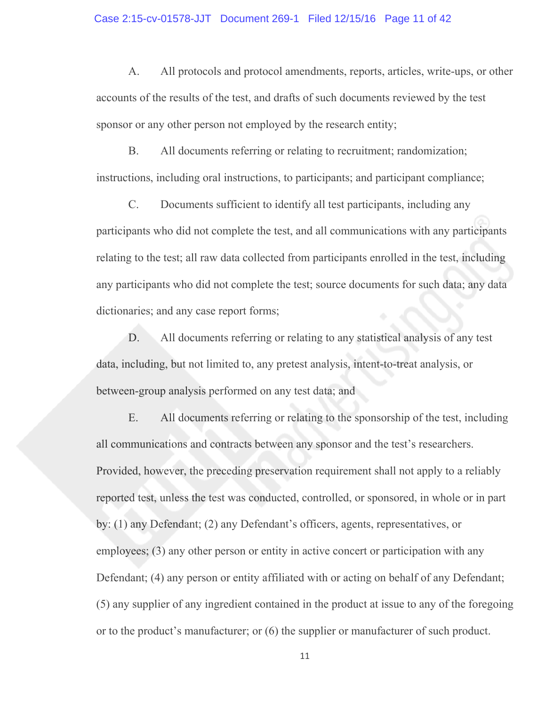#### Case 2:15-cv-01578-JJT Document 269-1 Filed 12/15/16 Page 11 of 42

A. All protocols and protocol amendments, reports, articles, write-ups, or other accounts of the results of the test, and drafts of such documents reviewed by the test sponsor or any other person not employed by the research entity;

B. All documents referring or relating to recruitment; randomization; instructions, including oral instructions, to participants; and participant compliance;

C. Documents sufficient to identify all test participants, including any participants who did not complete the test, and all communications with any participants relating to the test; all raw data collected from participants enrolled in the test, including any participants who did not complete the test; source documents for such data; any data dictionaries; and any case report forms;

D. All documents referring or relating to any statistical analysis of any test data, including, but not limited to, any pretest analysis, intent-to-treat analysis, or between-group analysis performed on any test data; and

E. All documents referring or relating to the sponsorship of the test, including all communications and contracts between any sponsor and the test's researchers. Provided, however, the preceding preservation requirement shall not apply to a reliably reported test, unless the test was conducted, controlled, or sponsored, in whole or in part by: (1) any Defendant; (2) any Defendant's officers, agents, representatives, or employees; (3) any other person or entity in active concert or participation with any Defendant; (4) any person or entity affiliated with or acting on behalf of any Defendant; (5) any supplier of any ingredient contained in the product at issue to any of the foregoing or to the product's manufacturer; or (6) the supplier or manufacturer of such product.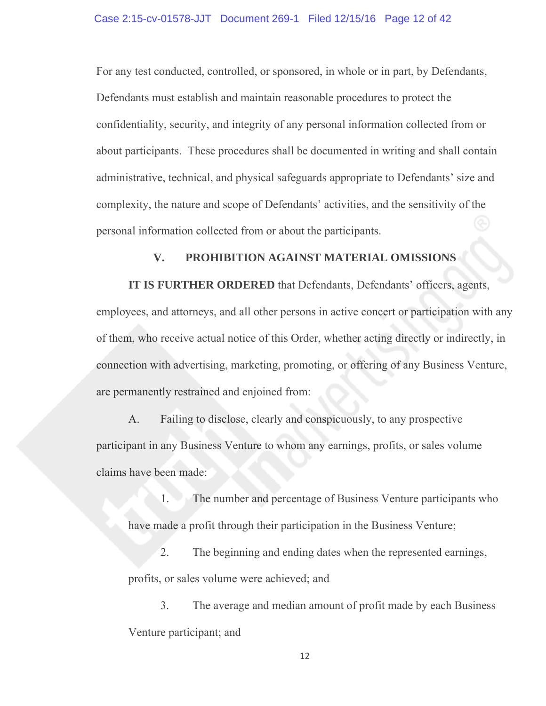For any test conducted, controlled, or sponsored, in whole or in part, by Defendants, Defendants must establish and maintain reasonable procedures to protect the confidentiality, security, and integrity of any personal information collected from or about participants. These procedures shall be documented in writing and shall contain administrative, technical, and physical safeguards appropriate to Defendants' size and complexity, the nature and scope of Defendants' activities, and the sensitivity of the personal information collected from or about the participants.

## **V. PROHIBITION AGAINST MATERIAL OMISSIONS**

 **IT IS FURTHER ORDERED** that Defendants, Defendants' officers, agents, employees, and attorneys, and all other persons in active concert or participation with any of them, who receive actual notice of this Order, whether acting directly or indirectly, in connection with advertising, marketing, promoting, or offering of any Business Venture, are permanently restrained and enjoined from:

 A. Failing to disclose, clearly and conspicuously, to any prospective participant in any Business Venture to whom any earnings, profits, or sales volume claims have been made:

1. The number and percentage of Business Venture participants who have made a profit through their participation in the Business Venture;

 2. The beginning and ending dates when the represented earnings, profits, or sales volume were achieved; and

3. The average and median amount of profit made by each Business Venture participant; and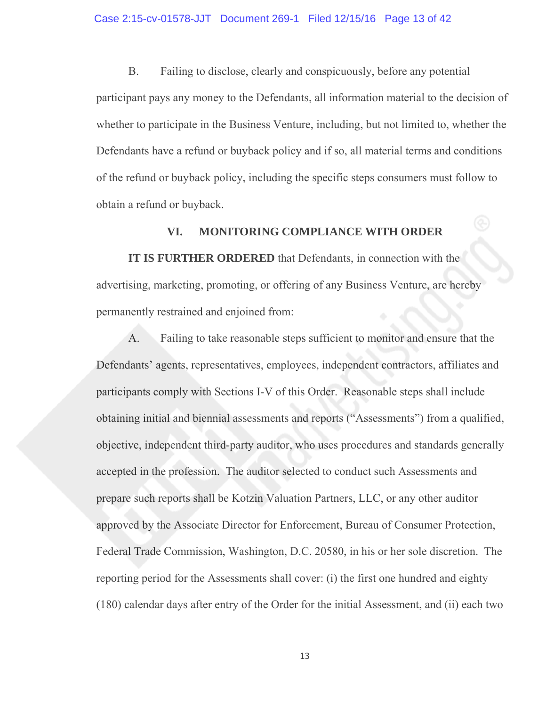B. Failing to disclose, clearly and conspicuously, before any potential participant pays any money to the Defendants, all information material to the decision of whether to participate in the Business Venture, including, but not limited to, whether the Defendants have a refund or buyback policy and if so, all material terms and conditions of the refund or buyback policy, including the specific steps consumers must follow to obtain a refund or buyback.

# **VI. MONITORING COMPLIANCE WITH ORDER**

**IT IS FURTHER ORDERED** that Defendants, in connection with the advertising, marketing, promoting, or offering of any Business Venture, are hereby permanently restrained and enjoined from:

A. Failing to take reasonable steps sufficient to monitor and ensure that the Defendants' agents, representatives, employees, independent contractors, affiliates and participants comply with Sections I-V of this Order. Reasonable steps shall include obtaining initial and biennial assessments and reports ("Assessments") from a qualified, objective, independent third-party auditor, who uses procedures and standards generally accepted in the profession. The auditor selected to conduct such Assessments and prepare such reports shall be Kotzin Valuation Partners, LLC, or any other auditor approved by the Associate Director for Enforcement, Bureau of Consumer Protection, Federal Trade Commission, Washington, D.C. 20580, in his or her sole discretion. The reporting period for the Assessments shall cover: (i) the first one hundred and eighty (180) calendar days after entry of the Order for the initial Assessment, and (ii) each two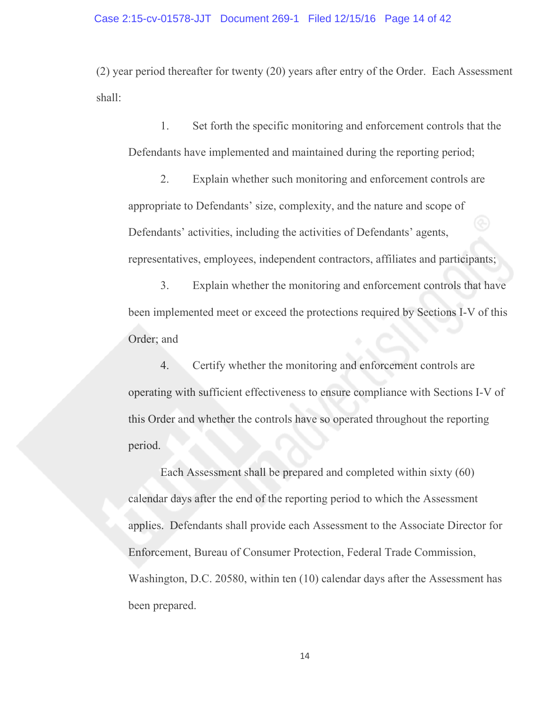(2) year period thereafter for twenty (20) years after entry of the Order. Each Assessment shall:

1. Set forth the specific monitoring and enforcement controls that the Defendants have implemented and maintained during the reporting period;

2. Explain whether such monitoring and enforcement controls are appropriate to Defendants' size, complexity, and the nature and scope of Defendants' activities, including the activities of Defendants' agents, representatives, employees, independent contractors, affiliates and participants;

3. Explain whether the monitoring and enforcement controls that have been implemented meet or exceed the protections required by Sections I-V of this Order; and

4. Certify whether the monitoring and enforcement controls are operating with sufficient effectiveness to ensure compliance with Sections I-V of this Order and whether the controls have so operated throughout the reporting period.

Each Assessment shall be prepared and completed within sixty (60) calendar days after the end of the reporting period to which the Assessment applies. Defendants shall provide each Assessment to the Associate Director for Enforcement, Bureau of Consumer Protection, Federal Trade Commission, Washington, D.C. 20580, within ten (10) calendar days after the Assessment has been prepared.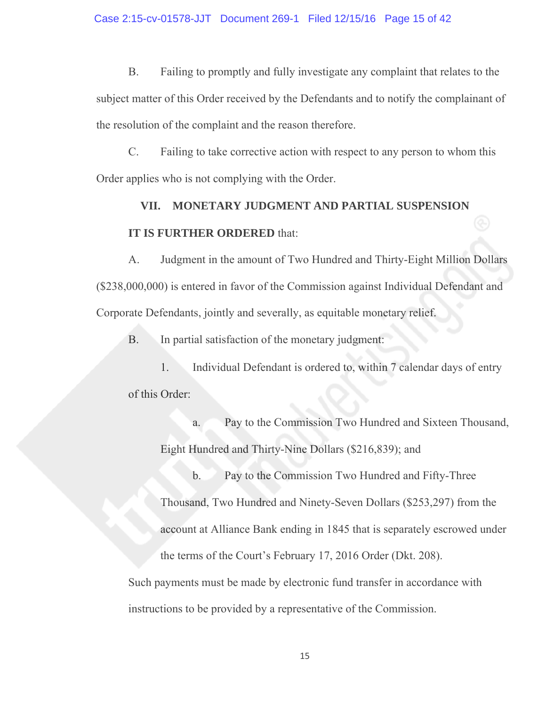B. Failing to promptly and fully investigate any complaint that relates to the subject matter of this Order received by the Defendants and to notify the complainant of the resolution of the complaint and the reason therefore.

C. Failing to take corrective action with respect to any person to whom this Order applies who is not complying with the Order.

# **VII. MONETARY JUDGMENT AND PARTIAL SUSPENSION IT IS FURTHER ORDERED** that:

A. Judgment in the amount of Two Hundred and Thirty-Eight Million Dollars (\$238,000,000) is entered in favor of the Commission against Individual Defendant and Corporate Defendants, jointly and severally, as equitable monetary relief.

B. In partial satisfaction of the monetary judgment:

1. Individual Defendant is ordered to, within 7 calendar days of entry of this Order:

 a. Pay to the Commission Two Hundred and Sixteen Thousand, Eight Hundred and Thirty-Nine Dollars (\$216,839); and

 b. Pay to the Commission Two Hundred and Fifty-Three Thousand, Two Hundred and Ninety-Seven Dollars (\$253,297) from the account at Alliance Bank ending in 1845 that is separately escrowed under the terms of the Court's February 17, 2016 Order (Dkt. 208).

Such payments must be made by electronic fund transfer in accordance with instructions to be provided by a representative of the Commission.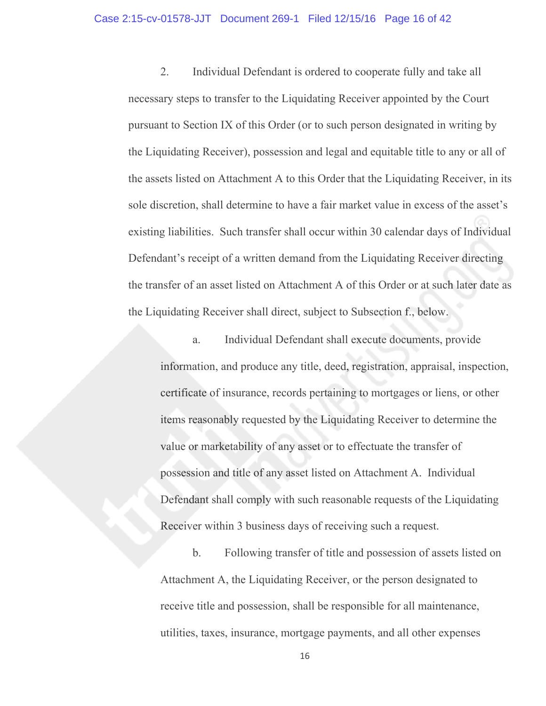2. Individual Defendant is ordered to cooperate fully and take all necessary steps to transfer to the Liquidating Receiver appointed by the Court pursuant to Section IX of this Order (or to such person designated in writing by the Liquidating Receiver), possession and legal and equitable title to any or all of the assets listed on Attachment A to this Order that the Liquidating Receiver, in its sole discretion, shall determine to have a fair market value in excess of the asset's existing liabilities. Such transfer shall occur within 30 calendar days of Individual Defendant's receipt of a written demand from the Liquidating Receiver directing the transfer of an asset listed on Attachment A of this Order or at such later date as the Liquidating Receiver shall direct, subject to Subsection f., below.

a. Individual Defendant shall execute documents, provide information, and produce any title, deed, registration, appraisal, inspection, certificate of insurance, records pertaining to mortgages or liens, or other items reasonably requested by the Liquidating Receiver to determine the value or marketability of any asset or to effectuate the transfer of possession and title of any asset listed on Attachment A. Individual Defendant shall comply with such reasonable requests of the Liquidating Receiver within 3 business days of receiving such a request.

b. Following transfer of title and possession of assets listed on Attachment A, the Liquidating Receiver, or the person designated to receive title and possession, shall be responsible for all maintenance, utilities, taxes, insurance, mortgage payments, and all other expenses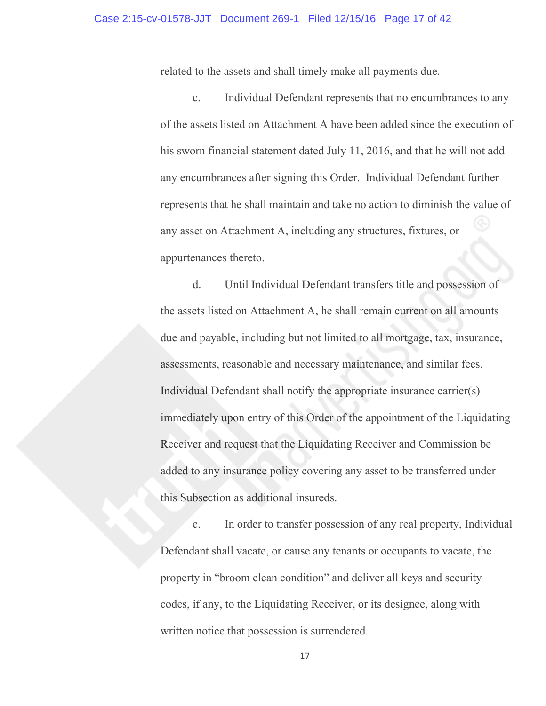related to the assets and shall timely make all payments due.

c. Individual Defendant represents that no encumbrances to any of the assets listed on Attachment A have been added since the execution of his sworn financial statement dated July 11, 2016, and that he will not add any encumbrances after signing this Order. Individual Defendant further represents that he shall maintain and take no action to diminish the value of any asset on Attachment A, including any structures, fixtures, or appurtenances thereto.

d. Until Individual Defendant transfers title and possession of the assets listed on Attachment A, he shall remain current on all amounts due and payable, including but not limited to all mortgage, tax, insurance, assessments, reasonable and necessary maintenance, and similar fees. Individual Defendant shall notify the appropriate insurance carrier(s) immediately upon entry of this Order of the appointment of the Liquidating Receiver and request that the Liquidating Receiver and Commission be added to any insurance policy covering any asset to be transferred under this Subsection as additional insureds.

e. In order to transfer possession of any real property, Individual Defendant shall vacate, or cause any tenants or occupants to vacate, the property in "broom clean condition" and deliver all keys and security codes, if any, to the Liquidating Receiver, or its designee, along with written notice that possession is surrendered.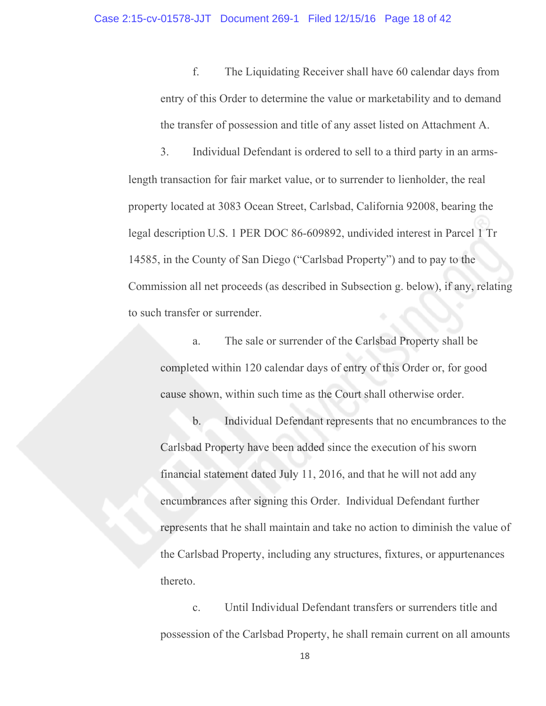f. The Liquidating Receiver shall have 60 calendar days from entry of this Order to determine the value or marketability and to demand the transfer of possession and title of any asset listed on Attachment A.

3. Individual Defendant is ordered to sell to a third party in an armslength transaction for fair market value, or to surrender to lienholder, the real property located at 3083 Ocean Street, Carlsbad, California 92008, bearing the legal description U.S. 1 PER DOC 86-609892, undivided interest in Parcel 1 Tr 14585, in the County of San Diego ("Carlsbad Property") and to pay to the Commission all net proceeds (as described in Subsection g. below), if any, relating to such transfer or surrender.

a. The sale or surrender of the Carlsbad Property shall be completed within 120 calendar days of entry of this Order or, for good cause shown, within such time as the Court shall otherwise order.

b. Individual Defendant represents that no encumbrances to the Carlsbad Property have been added since the execution of his sworn financial statement dated July 11, 2016, and that he will not add any encumbrances after signing this Order. Individual Defendant further represents that he shall maintain and take no action to diminish the value of the Carlsbad Property, including any structures, fixtures, or appurtenances thereto.

c. Until Individual Defendant transfers or surrenders title and possession of the Carlsbad Property, he shall remain current on all amounts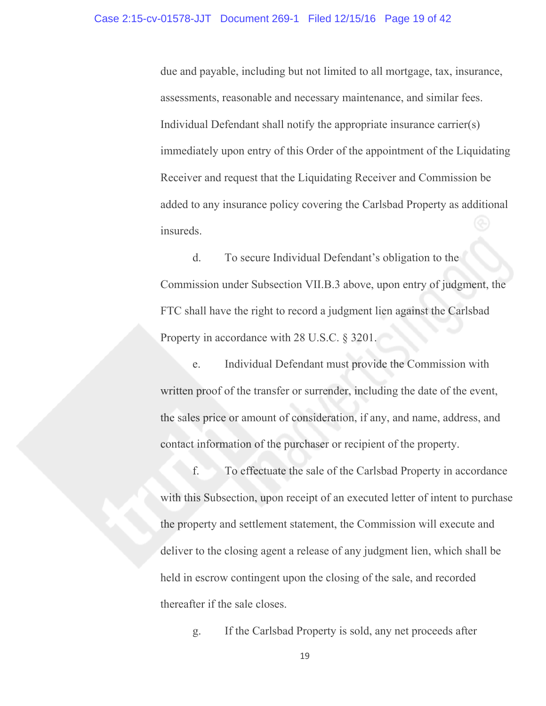due and payable, including but not limited to all mortgage, tax, insurance, assessments, reasonable and necessary maintenance, and similar fees. Individual Defendant shall notify the appropriate insurance carrier(s) immediately upon entry of this Order of the appointment of the Liquidating Receiver and request that the Liquidating Receiver and Commission be added to any insurance policy covering the Carlsbad Property as additional insureds.

d. To secure Individual Defendant's obligation to the Commission under Subsection VII.B.3 above, upon entry of judgment, the FTC shall have the right to record a judgment lien against the Carlsbad Property in accordance with 28 U.S.C. § 3201.

e. Individual Defendant must provide the Commission with written proof of the transfer or surrender, including the date of the event, the sales price or amount of consideration, if any, and name, address, and contact information of the purchaser or recipient of the property.

f. To effectuate the sale of the Carlsbad Property in accordance with this Subsection, upon receipt of an executed letter of intent to purchase the property and settlement statement, the Commission will execute and deliver to the closing agent a release of any judgment lien, which shall be held in escrow contingent upon the closing of the sale, and recorded thereafter if the sale closes.

g. If the Carlsbad Property is sold, any net proceeds after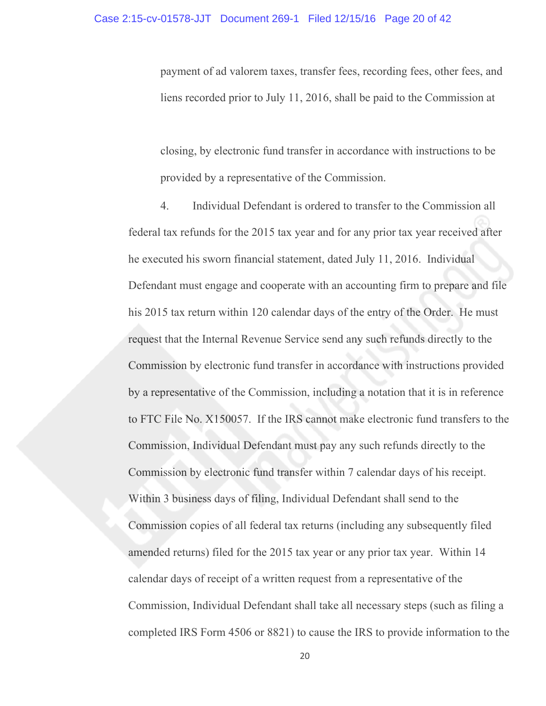payment of ad valorem taxes, transfer fees, recording fees, other fees, and liens recorded prior to July 11, 2016, shall be paid to the Commission at

closing, by electronic fund transfer in accordance with instructions to be provided by a representative of the Commission.

4. Individual Defendant is ordered to transfer to the Commission all federal tax refunds for the 2015 tax year and for any prior tax year received after he executed his sworn financial statement, dated July 11, 2016. Individual Defendant must engage and cooperate with an accounting firm to prepare and file his 2015 tax return within 120 calendar days of the entry of the Order. He must request that the Internal Revenue Service send any such refunds directly to the Commission by electronic fund transfer in accordance with instructions provided by a representative of the Commission, including a notation that it is in reference to FTC File No. X150057. If the IRS cannot make electronic fund transfers to the Commission, Individual Defendant must pay any such refunds directly to the Commission by electronic fund transfer within 7 calendar days of his receipt. Within 3 business days of filing, Individual Defendant shall send to the Commission copies of all federal tax returns (including any subsequently filed amended returns) filed for the 2015 tax year or any prior tax year. Within 14 calendar days of receipt of a written request from a representative of the Commission, Individual Defendant shall take all necessary steps (such as filing a completed IRS Form 4506 or 8821) to cause the IRS to provide information to the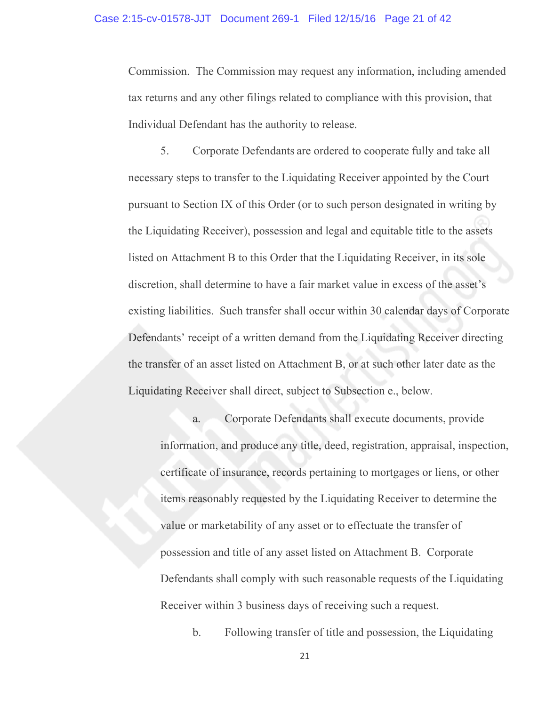Commission. The Commission may request any information, including amended tax returns and any other filings related to compliance with this provision, that Individual Defendant has the authority to release.

5. Corporate Defendants are ordered to cooperate fully and take all necessary steps to transfer to the Liquidating Receiver appointed by the Court pursuant to Section IX of this Order (or to such person designated in writing by the Liquidating Receiver), possession and legal and equitable title to the assets listed on Attachment B to this Order that the Liquidating Receiver, in its sole discretion, shall determine to have a fair market value in excess of the asset's existing liabilities. Such transfer shall occur within 30 calendar days of Corporate Defendants' receipt of a written demand from the Liquidating Receiver directing the transfer of an asset listed on Attachment B, or at such other later date as the Liquidating Receiver shall direct, subject to Subsection e., below.

a. Corporate Defendants shall execute documents, provide information, and produce any title, deed, registration, appraisal, inspection, certificate of insurance, records pertaining to mortgages or liens, or other items reasonably requested by the Liquidating Receiver to determine the value or marketability of any asset or to effectuate the transfer of possession and title of any asset listed on Attachment B. Corporate Defendants shall comply with such reasonable requests of the Liquidating Receiver within 3 business days of receiving such a request.

b. Following transfer of title and possession, the Liquidating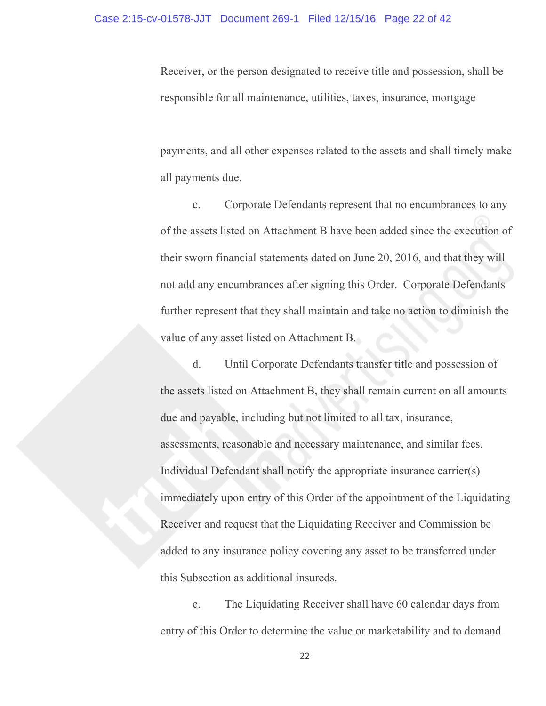Receiver, or the person designated to receive title and possession, shall be responsible for all maintenance, utilities, taxes, insurance, mortgage

payments, and all other expenses related to the assets and shall timely make all payments due.

c. Corporate Defendants represent that no encumbrances to any of the assets listed on Attachment B have been added since the execution of their sworn financial statements dated on June 20, 2016, and that they will not add any encumbrances after signing this Order. Corporate Defendants further represent that they shall maintain and take no action to diminish the value of any asset listed on Attachment B.

d. Until Corporate Defendants transfer title and possession of the assets listed on Attachment B, they shall remain current on all amounts due and payable, including but not limited to all tax, insurance, assessments, reasonable and necessary maintenance, and similar fees. Individual Defendant shall notify the appropriate insurance carrier(s) immediately upon entry of this Order of the appointment of the Liquidating Receiver and request that the Liquidating Receiver and Commission be added to any insurance policy covering any asset to be transferred under this Subsection as additional insureds.

e. The Liquidating Receiver shall have 60 calendar days from entry of this Order to determine the value or marketability and to demand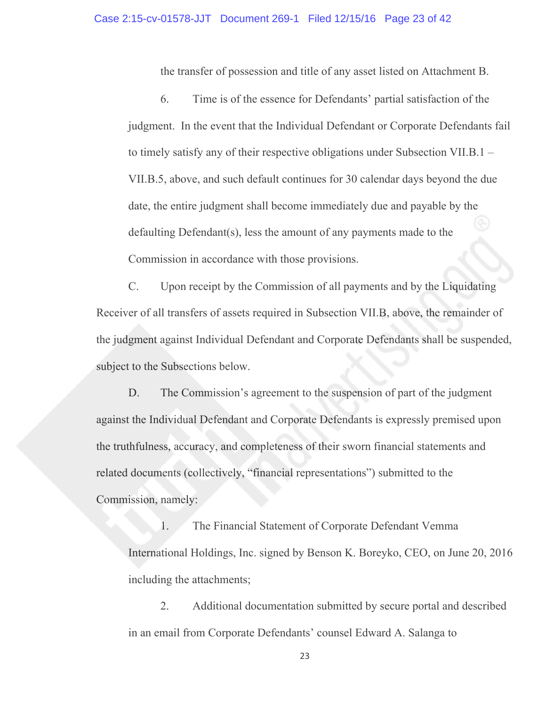the transfer of possession and title of any asset listed on Attachment B.

6. Time is of the essence for Defendants' partial satisfaction of the judgment. In the event that the Individual Defendant or Corporate Defendants fail to timely satisfy any of their respective obligations under Subsection VII.B.1 – VII.B.5, above, and such default continues for 30 calendar days beyond the due date, the entire judgment shall become immediately due and payable by the defaulting Defendant(s), less the amount of any payments made to the Commission in accordance with those provisions.

C. Upon receipt by the Commission of all payments and by the Liquidating Receiver of all transfers of assets required in Subsection VII.B, above, the remainder of the judgment against Individual Defendant and Corporate Defendants shall be suspended, subject to the Subsections below.

D. The Commission's agreement to the suspension of part of the judgment against the Individual Defendant and Corporate Defendants is expressly premised upon the truthfulness, accuracy, and completeness of their sworn financial statements and related documents (collectively, "financial representations") submitted to the Commission, namely:

1. The Financial Statement of Corporate Defendant Vemma International Holdings, Inc. signed by Benson K. Boreyko, CEO, on June 20, 2016 including the attachments;

2. Additional documentation submitted by secure portal and described in an email from Corporate Defendants' counsel Edward A. Salanga to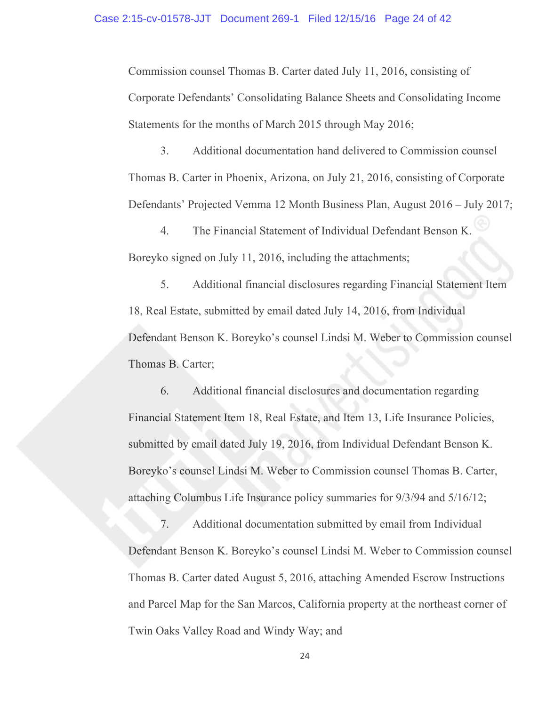Commission counsel Thomas B. Carter dated July 11, 2016, consisting of Corporate Defendants' Consolidating Balance Sheets and Consolidating Income Statements for the months of March 2015 through May 2016;

3. Additional documentation hand delivered to Commission counsel Thomas B. Carter in Phoenix, Arizona, on July 21, 2016, consisting of Corporate Defendants' Projected Vemma 12 Month Business Plan, August 2016 – July 2017;

4. The Financial Statement of Individual Defendant Benson K. Boreyko signed on July 11, 2016, including the attachments;

5. Additional financial disclosures regarding Financial Statement Item 18, Real Estate, submitted by email dated July 14, 2016, from Individual Defendant Benson K. Boreyko's counsel Lindsi M. Weber to Commission counsel Thomas B. Carter;

6. Additional financial disclosures and documentation regarding Financial Statement Item 18, Real Estate, and Item 13, Life Insurance Policies, submitted by email dated July 19, 2016, from Individual Defendant Benson K. Boreyko's counsel Lindsi M. Weber to Commission counsel Thomas B. Carter, attaching Columbus Life Insurance policy summaries for 9/3/94 and 5/16/12;

7. Additional documentation submitted by email from Individual Defendant Benson K. Boreyko's counsel Lindsi M. Weber to Commission counsel Thomas B. Carter dated August 5, 2016, attaching Amended Escrow Instructions and Parcel Map for the San Marcos, California property at the northeast corner of Twin Oaks Valley Road and Windy Way; and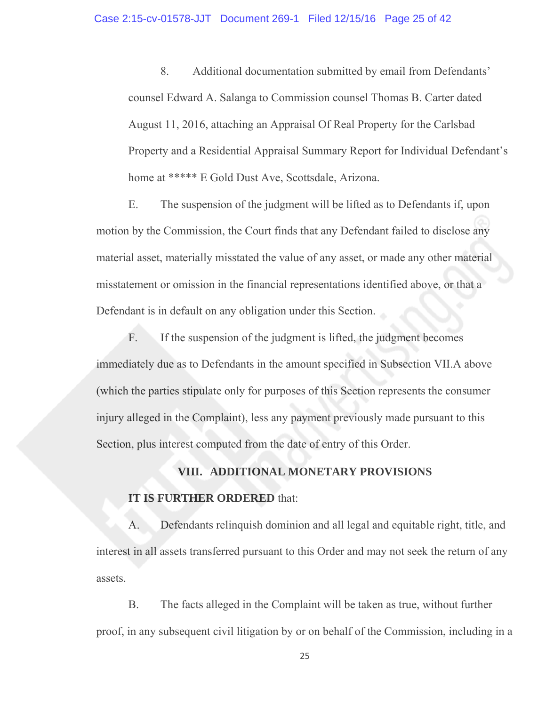8. Additional documentation submitted by email from Defendants' counsel Edward A. Salanga to Commission counsel Thomas B. Carter dated August 11, 2016, attaching an Appraisal Of Real Property for the Carlsbad Property and a Residential Appraisal Summary Report for Individual Defendant's home at \*\*\*\*\* E Gold Dust Ave, Scottsdale, Arizona.

E. The suspension of the judgment will be lifted as to Defendants if, upon motion by the Commission, the Court finds that any Defendant failed to disclose any material asset, materially misstated the value of any asset, or made any other material misstatement or omission in the financial representations identified above, or that a Defendant is in default on any obligation under this Section.

F. If the suspension of the judgment is lifted, the judgment becomes immediately due as to Defendants in the amount specified in Subsection VII.A above (which the parties stipulate only for purposes of this Section represents the consumer injury alleged in the Complaint), less any payment previously made pursuant to this Section, plus interest computed from the date of entry of this Order.

# **VIII. ADDITIONAL MONETARY PROVISIONS IT IS FURTHER ORDERED** that:

A. Defendants relinquish dominion and all legal and equitable right, title, and interest in all assets transferred pursuant to this Order and may not seek the return of any assets.

B. The facts alleged in the Complaint will be taken as true, without further proof, in any subsequent civil litigation by or on behalf of the Commission, including in a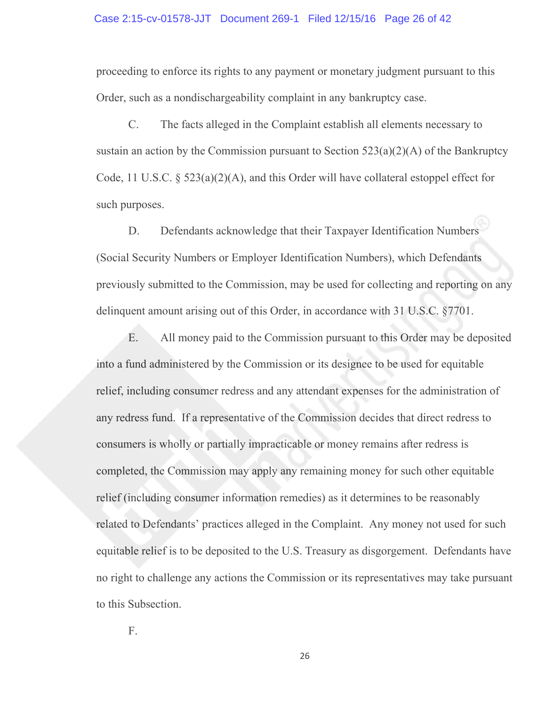#### Case 2:15-cv-01578-JJT Document 269-1 Filed 12/15/16 Page 26 of 42

proceeding to enforce its rights to any payment or monetary judgment pursuant to this Order, such as a nondischargeability complaint in any bankruptcy case.

C. The facts alleged in the Complaint establish all elements necessary to sustain an action by the Commission pursuant to Section  $523(a)(2)(A)$  of the Bankruptcy Code, 11 U.S.C. § 523(a)(2)(A), and this Order will have collateral estoppel effect for such purposes.

D. Defendants acknowledge that their Taxpayer Identification Numbers (Social Security Numbers or Employer Identification Numbers), which Defendants previously submitted to the Commission, may be used for collecting and reporting on any delinquent amount arising out of this Order, in accordance with 31 U.S.C. §7701.

E. All money paid to the Commission pursuant to this Order may be deposited into a fund administered by the Commission or its designee to be used for equitable relief, including consumer redress and any attendant expenses for the administration of any redress fund. If a representative of the Commission decides that direct redress to consumers is wholly or partially impracticable or money remains after redress is completed, the Commission may apply any remaining money for such other equitable relief (including consumer information remedies) as it determines to be reasonably related to Defendants' practices alleged in the Complaint. Any money not used for such equitable relief is to be deposited to the U.S. Treasury as disgorgement. Defendants have no right to challenge any actions the Commission or its representatives may take pursuant to this Subsection.

F.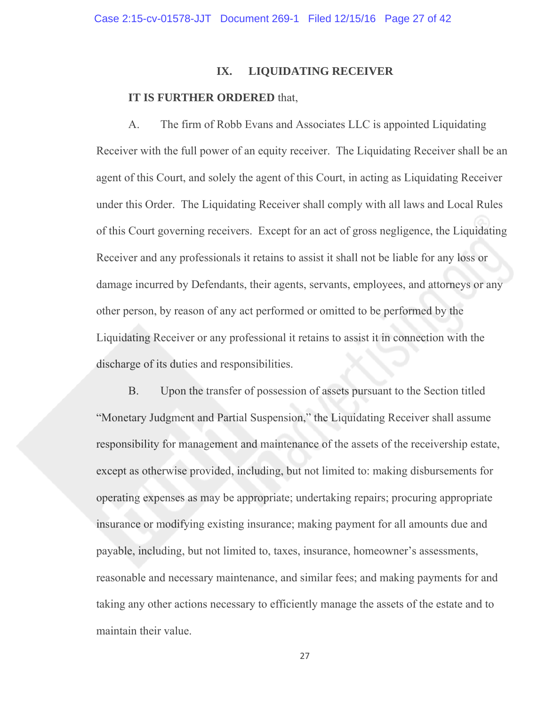## **IX. LIQUIDATING RECEIVER**

## **IT IS FURTHER ORDERED** that,

 A. The firm of Robb Evans and Associates LLC is appointed Liquidating Receiver with the full power of an equity receiver. The Liquidating Receiver shall be an agent of this Court, and solely the agent of this Court, in acting as Liquidating Receiver under this Order. The Liquidating Receiver shall comply with all laws and Local Rules of this Court governing receivers. Except for an act of gross negligence, the Liquidating Receiver and any professionals it retains to assist it shall not be liable for any loss or damage incurred by Defendants, their agents, servants, employees, and attorneys or any other person, by reason of any act performed or omitted to be performed by the Liquidating Receiver or any professional it retains to assist it in connection with the discharge of its duties and responsibilities.

 B. Upon the transfer of possession of assets pursuant to the Section titled "Monetary Judgment and Partial Suspension," the Liquidating Receiver shall assume responsibility for management and maintenance of the assets of the receivership estate, except as otherwise provided, including, but not limited to: making disbursements for operating expenses as may be appropriate; undertaking repairs; procuring appropriate insurance or modifying existing insurance; making payment for all amounts due and payable, including, but not limited to, taxes, insurance, homeowner's assessments, reasonable and necessary maintenance, and similar fees; and making payments for and taking any other actions necessary to efficiently manage the assets of the estate and to maintain their value.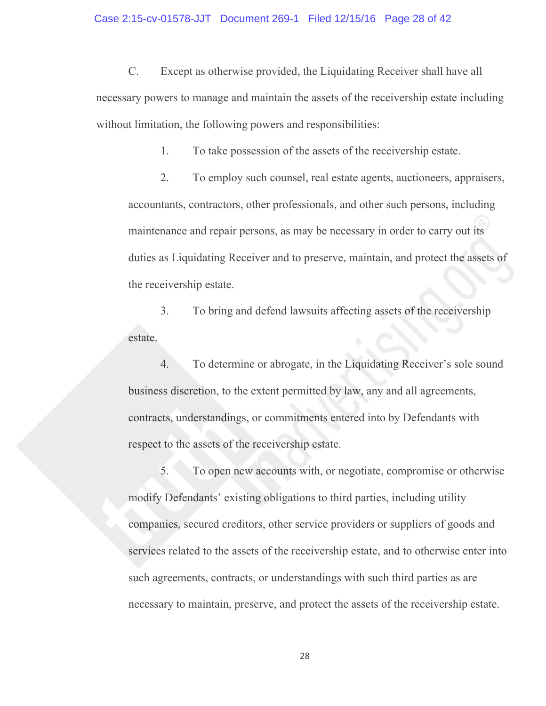C. Except as otherwise provided, the Liquidating Receiver shall have all necessary powers to manage and maintain the assets of the receivership estate including without limitation, the following powers and responsibilities:

1. To take possession of the assets of the receivership estate.

 2. To employ such counsel, real estate agents, auctioneers, appraisers, accountants, contractors, other professionals, and other such persons, including maintenance and repair persons, as may be necessary in order to carry out its duties as Liquidating Receiver and to preserve, maintain, and protect the assets of the receivership estate.

 3. To bring and defend lawsuits affecting assets of the receivership estate.

 4. To determine or abrogate, in the Liquidating Receiver's sole sound business discretion, to the extent permitted by law, any and all agreements, contracts, understandings, or commitments entered into by Defendants with respect to the assets of the receivership estate.

 5. To open new accounts with, or negotiate, compromise or otherwise modify Defendants' existing obligations to third parties, including utility companies, secured creditors, other service providers or suppliers of goods and services related to the assets of the receivership estate, and to otherwise enter into such agreements, contracts, or understandings with such third parties as are necessary to maintain, preserve, and protect the assets of the receivership estate.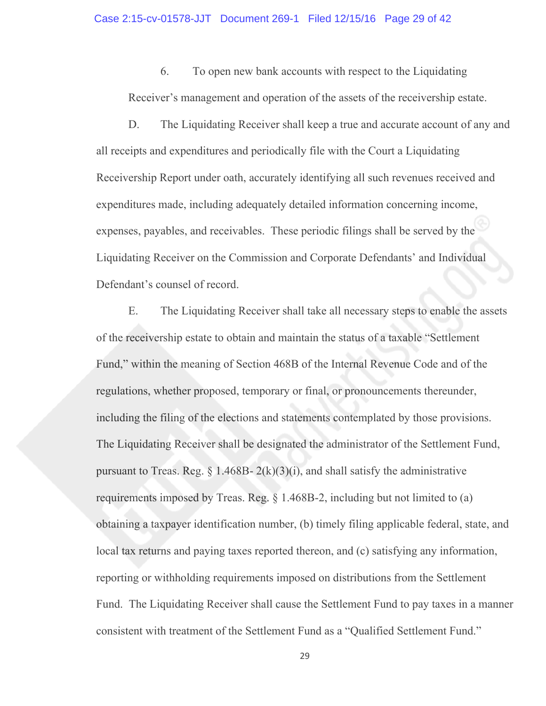6. To open new bank accounts with respect to the Liquidating Receiver's management and operation of the assets of the receivership estate.

 D. The Liquidating Receiver shall keep a true and accurate account of any and all receipts and expenditures and periodically file with the Court a Liquidating Receivership Report under oath, accurately identifying all such revenues received and expenditures made, including adequately detailed information concerning income, expenses, payables, and receivables. These periodic filings shall be served by the Liquidating Receiver on the Commission and Corporate Defendants' and Individual Defendant's counsel of record.

 E. The Liquidating Receiver shall take all necessary steps to enable the assets of the receivership estate to obtain and maintain the status of a taxable "Settlement Fund," within the meaning of Section 468B of the Internal Revenue Code and of the regulations, whether proposed, temporary or final, or pronouncements thereunder, including the filing of the elections and statements contemplated by those provisions. The Liquidating Receiver shall be designated the administrator of the Settlement Fund, pursuant to Treas. Reg.  $\S$  1.468B-  $2(k)(3)(i)$ , and shall satisfy the administrative requirements imposed by Treas. Reg. § 1.468B-2, including but not limited to (a) obtaining a taxpayer identification number, (b) timely filing applicable federal, state, and local tax returns and paying taxes reported thereon, and (c) satisfying any information, reporting or withholding requirements imposed on distributions from the Settlement Fund. The Liquidating Receiver shall cause the Settlement Fund to pay taxes in a manner consistent with treatment of the Settlement Fund as a "Qualified Settlement Fund."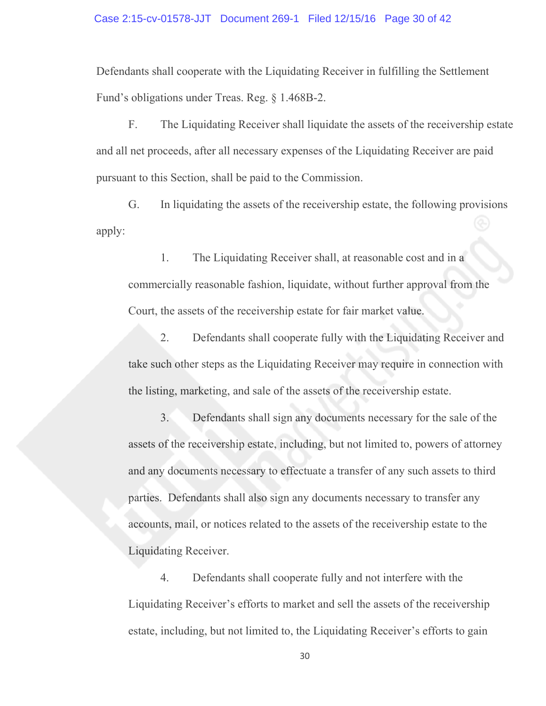#### Case 2:15-cv-01578-JJT Document 269-1 Filed 12/15/16 Page 30 of 42

Defendants shall cooperate with the Liquidating Receiver in fulfilling the Settlement Fund's obligations under Treas. Reg. § 1.468B-2.

 F. The Liquidating Receiver shall liquidate the assets of the receivership estate and all net proceeds, after all necessary expenses of the Liquidating Receiver are paid pursuant to this Section, shall be paid to the Commission.

 G. In liquidating the assets of the receivership estate, the following provisions apply:

 1. The Liquidating Receiver shall, at reasonable cost and in a commercially reasonable fashion, liquidate, without further approval from the Court, the assets of the receivership estate for fair market value.

 2. Defendants shall cooperate fully with the Liquidating Receiver and take such other steps as the Liquidating Receiver may require in connection with the listing, marketing, and sale of the assets of the receivership estate.

 3. Defendants shall sign any documents necessary for the sale of the assets of the receivership estate, including, but not limited to, powers of attorney and any documents necessary to effectuate a transfer of any such assets to third parties. Defendants shall also sign any documents necessary to transfer any accounts, mail, or notices related to the assets of the receivership estate to the Liquidating Receiver.

 4. Defendants shall cooperate fully and not interfere with the Liquidating Receiver's efforts to market and sell the assets of the receivership estate, including, but not limited to, the Liquidating Receiver's efforts to gain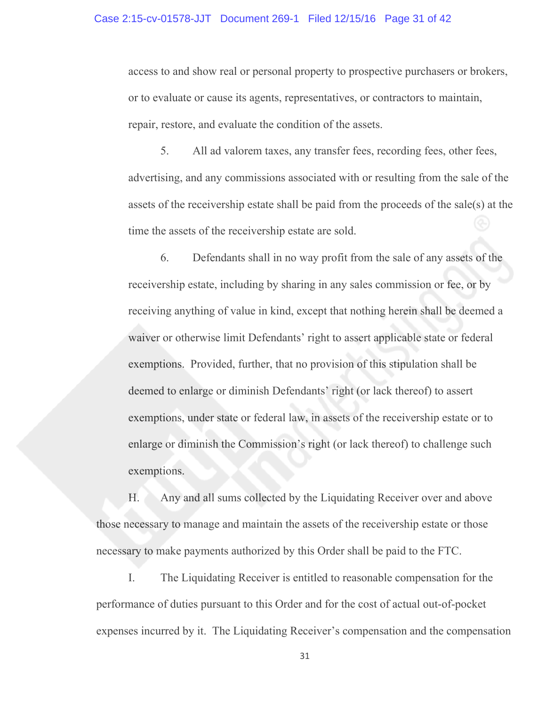#### Case 2:15-cv-01578-JJT Document 269-1 Filed 12/15/16 Page 31 of 42

access to and show real or personal property to prospective purchasers or brokers, or to evaluate or cause its agents, representatives, or contractors to maintain, repair, restore, and evaluate the condition of the assets.

 5. All ad valorem taxes, any transfer fees, recording fees, other fees, advertising, and any commissions associated with or resulting from the sale of the assets of the receivership estate shall be paid from the proceeds of the sale(s) at the time the assets of the receivership estate are sold.

 6. Defendants shall in no way profit from the sale of any assets of the receivership estate, including by sharing in any sales commission or fee, or by receiving anything of value in kind, except that nothing herein shall be deemed a waiver or otherwise limit Defendants' right to assert applicable state or federal exemptions. Provided, further, that no provision of this stipulation shall be deemed to enlarge or diminish Defendants' right (or lack thereof) to assert exemptions, under state or federal law, in assets of the receivership estate or to enlarge or diminish the Commission's right (or lack thereof) to challenge such exemptions.

 H. Any and all sums collected by the Liquidating Receiver over and above those necessary to manage and maintain the assets of the receivership estate or those necessary to make payments authorized by this Order shall be paid to the FTC.

 I. The Liquidating Receiver is entitled to reasonable compensation for the performance of duties pursuant to this Order and for the cost of actual out-of-pocket expenses incurred by it. The Liquidating Receiver's compensation and the compensation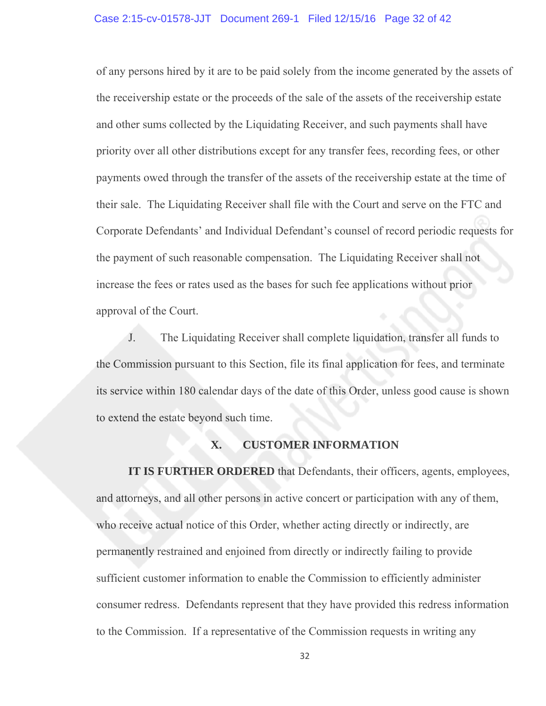of any persons hired by it are to be paid solely from the income generated by the assets of the receivership estate or the proceeds of the sale of the assets of the receivership estate and other sums collected by the Liquidating Receiver, and such payments shall have priority over all other distributions except for any transfer fees, recording fees, or other payments owed through the transfer of the assets of the receivership estate at the time of their sale. The Liquidating Receiver shall file with the Court and serve on the FTC and Corporate Defendants' and Individual Defendant's counsel of record periodic requests for the payment of such reasonable compensation. The Liquidating Receiver shall not increase the fees or rates used as the bases for such fee applications without prior approval of the Court.

 J. The Liquidating Receiver shall complete liquidation, transfer all funds to the Commission pursuant to this Section, file its final application for fees, and terminate its service within 180 calendar days of the date of this Order, unless good cause is shown to extend the estate beyond such time.

# **X. CUSTOMER INFORMATION**

**IT IS FURTHER ORDERED** that Defendants, their officers, agents, employees, and attorneys, and all other persons in active concert or participation with any of them, who receive actual notice of this Order, whether acting directly or indirectly, are permanently restrained and enjoined from directly or indirectly failing to provide sufficient customer information to enable the Commission to efficiently administer consumer redress. Defendants represent that they have provided this redress information to the Commission. If a representative of the Commission requests in writing any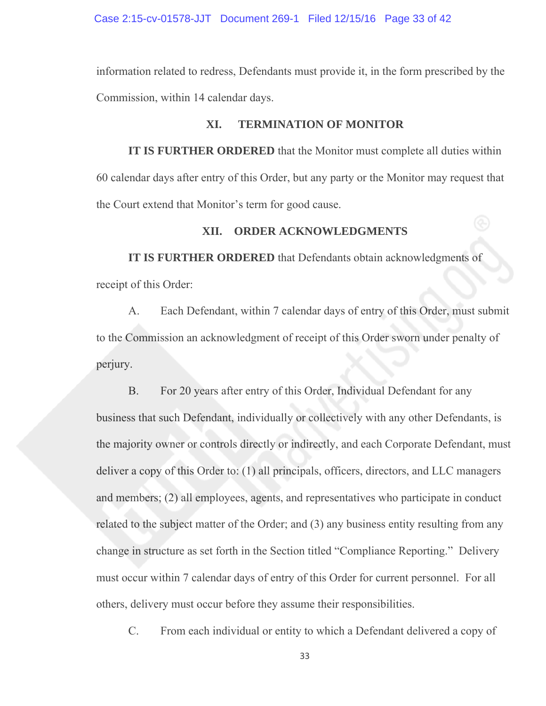Case 2:15-cv-01578-JJT Document 269-1 Filed 12/15/16 Page 33 of 42

information related to redress, Defendants must provide it, in the form prescribed by the Commission, within 14 calendar days.

## **XI. TERMINATION OF MONITOR**

**IT IS FURTHER ORDERED** that the Monitor must complete all duties within 60 calendar days after entry of this Order, but any party or the Monitor may request that the Court extend that Monitor's term for good cause.

# **XII. ORDER ACKNOWLEDGMENTS**

**IT IS FURTHER ORDERED** that Defendants obtain acknowledgments of receipt of this Order:

A. Each Defendant, within 7 calendar days of entry of this Order, must submit to the Commission an acknowledgment of receipt of this Order sworn under penalty of perjury.

B. For 20 years after entry of this Order, Individual Defendant for any business that such Defendant, individually or collectively with any other Defendants, is the majority owner or controls directly or indirectly, and each Corporate Defendant, must deliver a copy of this Order to: (1) all principals, officers, directors, and LLC managers and members; (2) all employees, agents, and representatives who participate in conduct related to the subject matter of the Order; and (3) any business entity resulting from any change in structure as set forth in the Section titled "Compliance Reporting." Delivery must occur within 7 calendar days of entry of this Order for current personnel. For all others, delivery must occur before they assume their responsibilities.

C. From each individual or entity to which a Defendant delivered a copy of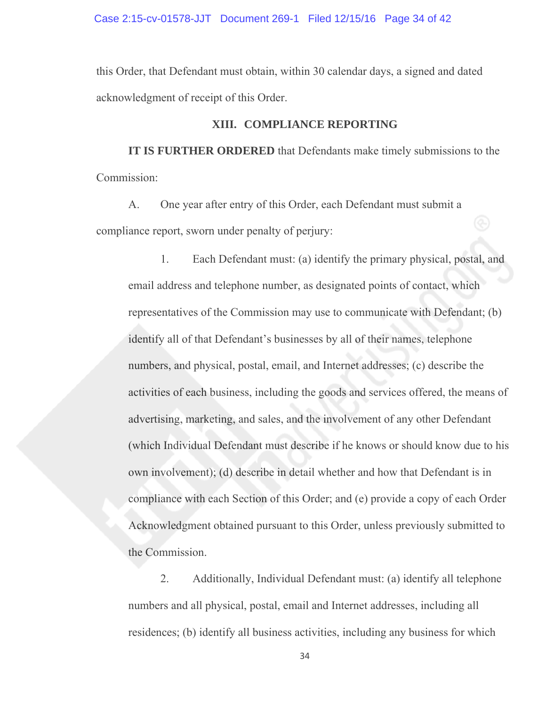Case 2:15-cv-01578-JJT Document 269-1 Filed 12/15/16 Page 34 of 42

this Order, that Defendant must obtain, within 30 calendar days, a signed and dated acknowledgment of receipt of this Order.

## **XIII. COMPLIANCE REPORTING**

**IT IS FURTHER ORDERED** that Defendants make timely submissions to the Commission:

A. One year after entry of this Order, each Defendant must submit a compliance report, sworn under penalty of perjury:

1. Each Defendant must: (a) identify the primary physical, postal, and email address and telephone number, as designated points of contact, which representatives of the Commission may use to communicate with Defendant; (b) identify all of that Defendant's businesses by all of their names, telephone numbers, and physical, postal, email, and Internet addresses; (c) describe the activities of each business, including the goods and services offered, the means of advertising, marketing, and sales, and the involvement of any other Defendant (which Individual Defendant must describe if he knows or should know due to his own involvement); (d) describe in detail whether and how that Defendant is in compliance with each Section of this Order; and (e) provide a copy of each Order Acknowledgment obtained pursuant to this Order, unless previously submitted to the Commission.

2. Additionally, Individual Defendant must: (a) identify all telephone numbers and all physical, postal, email and Internet addresses, including all residences; (b) identify all business activities, including any business for which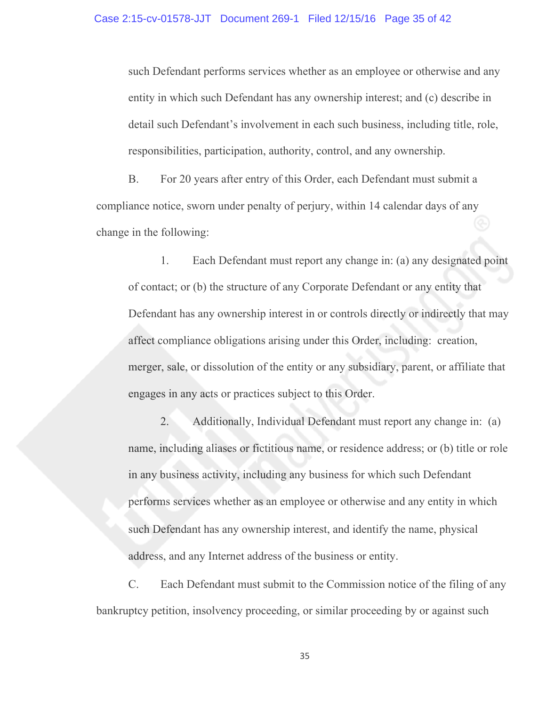such Defendant performs services whether as an employee or otherwise and any entity in which such Defendant has any ownership interest; and (c) describe in detail such Defendant's involvement in each such business, including title, role, responsibilities, participation, authority, control, and any ownership.

B. For 20 years after entry of this Order, each Defendant must submit a compliance notice, sworn under penalty of perjury, within 14 calendar days of any change in the following:

 1. Each Defendant must report any change in: (a) any designated point of contact; or (b) the structure of any Corporate Defendant or any entity that Defendant has any ownership interest in or controls directly or indirectly that may affect compliance obligations arising under this Order, including: creation, merger, sale, or dissolution of the entity or any subsidiary, parent, or affiliate that engages in any acts or practices subject to this Order.

 2. Additionally, Individual Defendant must report any change in: (a) name, including aliases or fictitious name, or residence address; or (b) title or role in any business activity, including any business for which such Defendant performs services whether as an employee or otherwise and any entity in which such Defendant has any ownership interest, and identify the name, physical address, and any Internet address of the business or entity.

C. Each Defendant must submit to the Commission notice of the filing of any bankruptcy petition, insolvency proceeding, or similar proceeding by or against such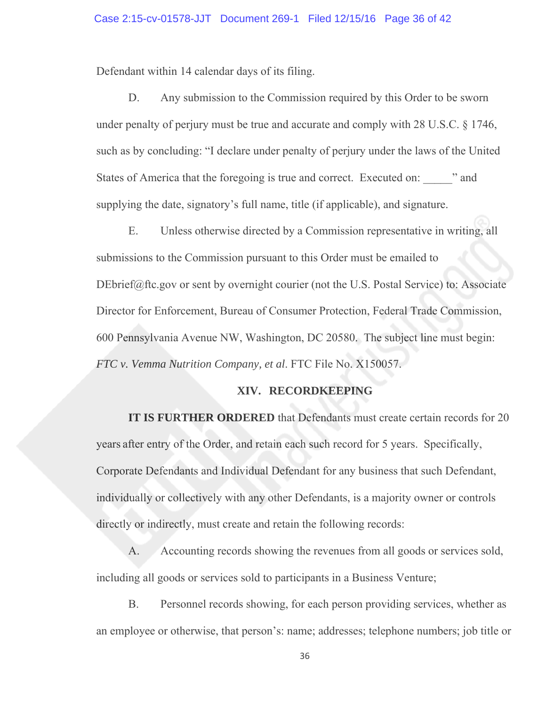Defendant within 14 calendar days of its filing.

D. Any submission to the Commission required by this Order to be sworn under penalty of perjury must be true and accurate and comply with 28 U.S.C. § 1746, such as by concluding: "I declare under penalty of perjury under the laws of the United States of America that the foregoing is true and correct. Executed on:  $\cdots$  and supplying the date, signatory's full name, title (if applicable), and signature.

E. Unless otherwise directed by a Commission representative in writing, all submissions to the Commission pursuant to this Order must be emailed to DEbrief@ftc.gov or sent by overnight courier (not the U.S. Postal Service) to: Associate Director for Enforcement, Bureau of Consumer Protection, Federal Trade Commission, 600 Pennsylvania Avenue NW, Washington, DC 20580. The subject line must begin: *FTC v. Vemma Nutrition Company, et al*. FTC File No. X150057.

# **XIV. RECORDKEEPING**

**IT IS FURTHER ORDERED** that Defendants must create certain records for 20 years after entry of the Order, and retain each such record for 5 years. Specifically, Corporate Defendants and Individual Defendant for any business that such Defendant, individually or collectively with any other Defendants, is a majority owner or controls directly or indirectly, must create and retain the following records:

A. Accounting records showing the revenues from all goods or services sold, including all goods or services sold to participants in a Business Venture;

B. Personnel records showing, for each person providing services, whether as an employee or otherwise, that person's: name; addresses; telephone numbers; job title or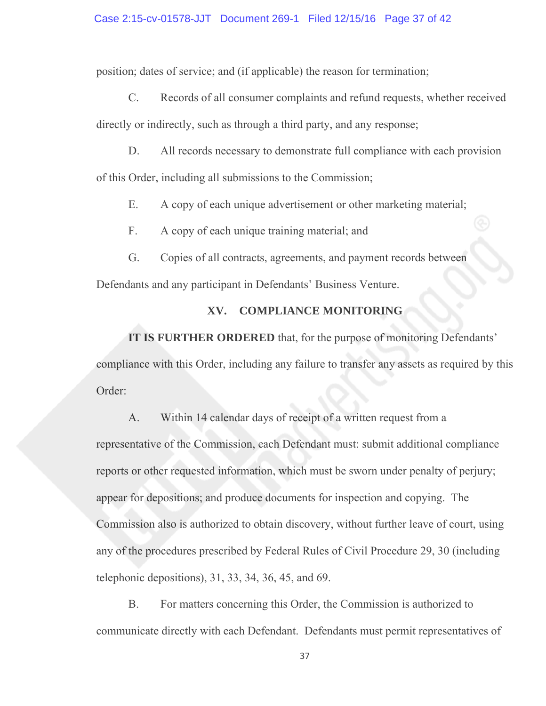position; dates of service; and (if applicable) the reason for termination;

C. Records of all consumer complaints and refund requests, whether received directly or indirectly, such as through a third party, and any response;

D. All records necessary to demonstrate full compliance with each provision

of this Order, including all submissions to the Commission;

- E. A copy of each unique advertisement or other marketing material;
- F. A copy of each unique training material; and
- G. Copies of all contracts, agreements, and payment records between

Defendants and any participant in Defendants' Business Venture.

# **XV. COMPLIANCE MONITORING**

**IT IS FURTHER ORDERED** that, for the purpose of monitoring Defendants' compliance with this Order, including any failure to transfer any assets as required by this Order:

A. Within 14 calendar days of receipt of a written request from a representative of the Commission, each Defendant must: submit additional compliance reports or other requested information, which must be sworn under penalty of perjury; appear for depositions; and produce documents for inspection and copying. The Commission also is authorized to obtain discovery, without further leave of court, using any of the procedures prescribed by Federal Rules of Civil Procedure 29, 30 (including telephonic depositions), 31, 33, 34, 36, 45, and 69.

B. For matters concerning this Order, the Commission is authorized to communicate directly with each Defendant. Defendants must permit representatives of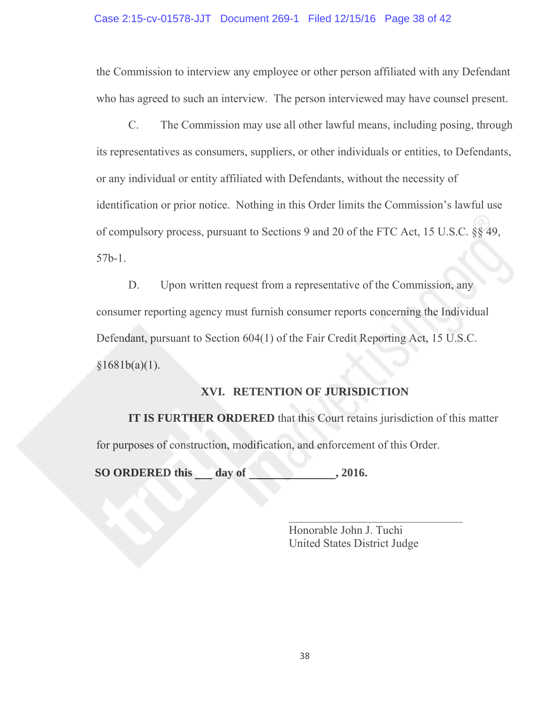#### Case 2:15-cv-01578-JJT Document 269-1 Filed 12/15/16 Page 38 of 42

the Commission to interview any employee or other person affiliated with any Defendant who has agreed to such an interview. The person interviewed may have counsel present.

C. The Commission may use all other lawful means, including posing, through its representatives as consumers, suppliers, or other individuals or entities, to Defendants, or any individual or entity affiliated with Defendants, without the necessity of identification or prior notice. Nothing in this Order limits the Commission's lawful use of compulsory process, pursuant to Sections 9 and 20 of the FTC Act, 15 U.S.C. §§ 49, 57b-1.

D. Upon written request from a representative of the Commission, any consumer reporting agency must furnish consumer reports concerning the Individual Defendant, pursuant to Section 604(1) of the Fair Credit Reporting Act, 15 U.S.C.  $§1681b(a)(1)$ .

# **XVI. RETENTION OF JURISDICTION**

**IT IS FURTHER ORDERED** that this Court retains jurisdiction of this matter for purposes of construction, modification, and enforcement of this Order.

SO ORDERED this day of , 2016.

 $\mathcal{L}=\{x_1,\ldots,x_n\}$  , we can also the contribution of  $\mathcal{L}=\{x_1,\ldots,x_n\}$  Honorable John J. Tuchi United States District Judge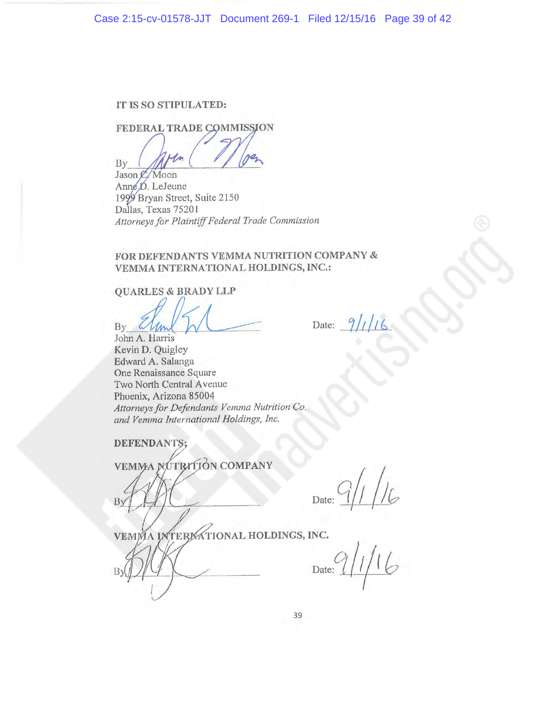## IT IS SO STIPULATED:

FEDERAL TRADE COMMISSION

By Jason C. Moon

Anne D. LeJeune 1999 Bryan Street, Suite 2150 Dallas, Texas 75201 Attorneys for Plaintiff Federal Trade Commission

## FOR DEFENDANTS VEMMA NUTRITION COMPANY & VEMMA INTERNATIONAL HOLDINGS, INC.:

**QUARLES & BRADY LLP** 

By  $4\mu$ 

John A. Harris Kevin D. Quigley Edward A. Salanga One Renaissance Square Two North Central Avenue Phoenix, Arizona 85004 Attorneys for Defendants Vemma Nutrition Co. and Vemma International Holdings, Inc.

**DEFENDANTS:** 

VEMMA NUTRITION COMPANY

Date:

Date:

VEMMA INTERNATIONAL HOLDINGS, INC.

 $1/16$ Date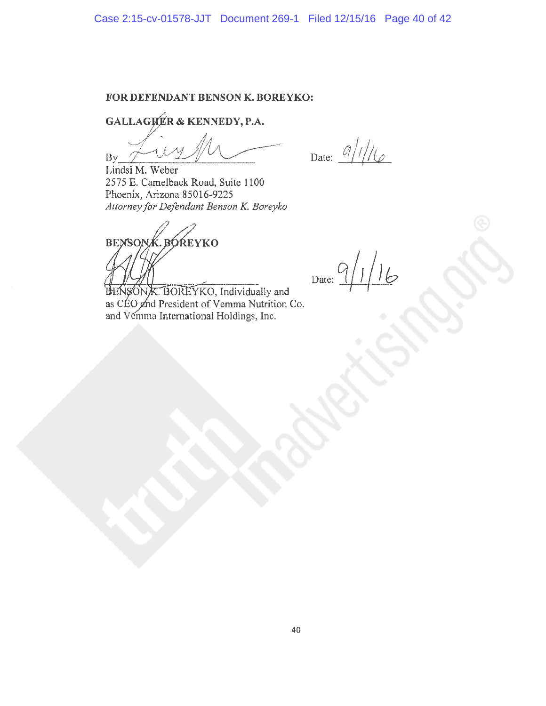#### FOR DEFENDANT BENSON K. BOREYKO:

GALLAGHER & KENNEDY, P.A.

**By** 

Date:  $9/1/16$ 

Lindsi M. Weber 2575 E. Camelback Road, Suite 1100 Phoenix, Arizona 85016-9225 Attorney for Defendant Benson K. Boreyko

**BENSON BÓŔEYKO** 

Date:  $9/1/16$ 

SON K. BOREYKO, Individually and as CÉO and President of Vemma Nutrition Co. and Vemma International Holdings, Inc.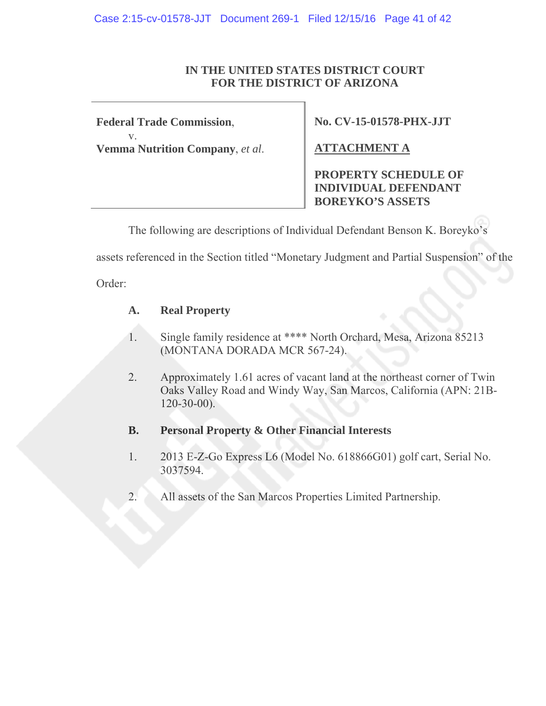# **IN THE UNITED STATES DISTRICT COURT FOR THE DISTRICT OF ARIZONA**

**Federal Trade Commission**, v. **Vemma Nutrition Company**, *et al*. **No. CV-15-01578-PHX-JJT** 

**ATTACHMENT A** 

**PROPERTY SCHEDULE OF INDIVIDUAL DEFENDANT BOREYKO'S ASSETS** 

The following are descriptions of Individual Defendant Benson K. Boreyko's

assets referenced in the Section titled "Monetary Judgment and Partial Suspension" of the

Order:

# **A. Real Property**

- 1. Single family residence at \*\*\*\* North Orchard, Mesa, Arizona 85213 (MONTANA DORADA MCR 567-24).
- 2. Approximately 1.61 acres of vacant land at the northeast corner of Twin Oaks Valley Road and Windy Way, San Marcos, California (APN: 21B-  $120 - 30 - 00$ ).
- **B. Personal Property & Other Financial Interests**
- 1. 2013 E-Z-Go Express L6 (Model No. 618866G01) golf cart, Serial No. 3037594.
- 2. All assets of the San Marcos Properties Limited Partnership.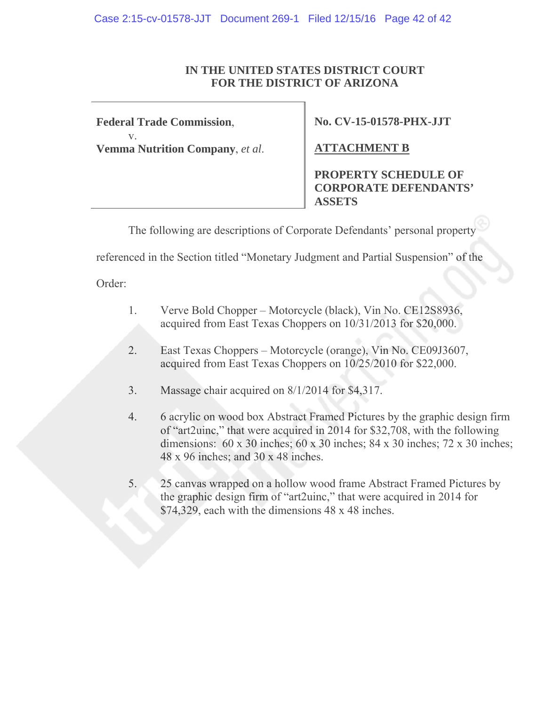# **IN THE UNITED STATES DISTRICT COURT FOR THE DISTRICT OF ARIZONA**

**Federal Trade Commission**, v. **Vemma Nutrition Company**, *et al*. **No. CV-15-01578-PHX-JJT** 

**ATTACHMENT B** 

**PROPERTY SCHEDULE OF CORPORATE DEFENDANTS' ASSETS**

The following are descriptions of Corporate Defendants' personal property

referenced in the Section titled "Monetary Judgment and Partial Suspension" of the

Order:

- 1. Verve Bold Chopper Motorcycle (black), Vin No. CE12S8936, acquired from East Texas Choppers on 10/31/2013 for \$20,000.
- 2. East Texas Choppers Motorcycle (orange), Vin No. CE09J3607, acquired from East Texas Choppers on 10/25/2010 for \$22,000.
- 3. Massage chair acquired on 8/1/2014 for \$4,317.
- 4. 6 acrylic on wood box Abstract Framed Pictures by the graphic design firm of "art2uinc," that were acquired in 2014 for \$32,708, with the following dimensions: 60 x 30 inches; 60 x 30 inches; 84 x 30 inches; 72 x 30 inches; 48 x 96 inches; and 30 x 48 inches.
- 5. 25 canvas wrapped on a hollow wood frame Abstract Framed Pictures by the graphic design firm of "art2uinc," that were acquired in 2014 for \$74,329, each with the dimensions 48 x 48 inches.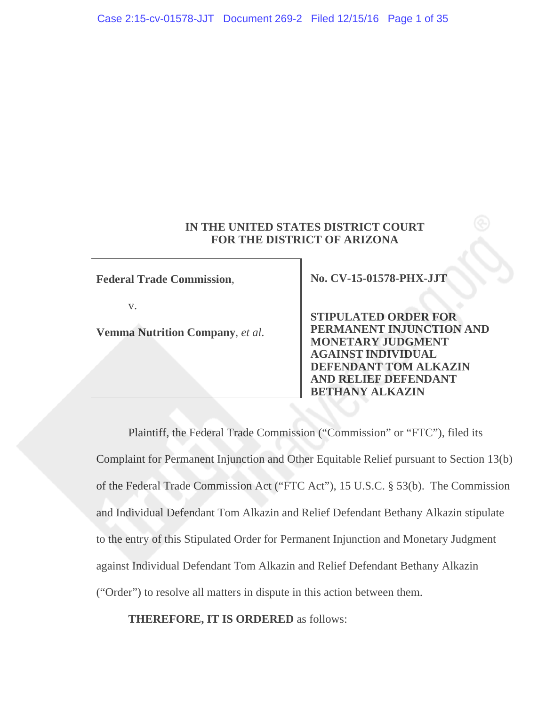# **IN THE UNITED STATES DISTRICT COURT FOR THE DISTRICT OF ARIZONA**

**Federal Trade Commission**,

v.

**Vemma Nutrition Company**, *et al*.

**No. CV-15-01578-PHX-JJT** 

**STIPULATED ORDER FOR PERMANENT INJUNCTION AND MONETARY JUDGMENT AGAINST INDIVIDUAL DEFENDANT TOM ALKAZIN AND RELIEF DEFENDANT BETHANY ALKAZIN** 

Plaintiff, the Federal Trade Commission ("Commission" or "FTC"), filed its Complaint for Permanent Injunction and Other Equitable Relief pursuant to Section 13(b) of the Federal Trade Commission Act ("FTC Act"), 15 U.S.C. § 53(b). The Commission and Individual Defendant Tom Alkazin and Relief Defendant Bethany Alkazin stipulate to the entry of this Stipulated Order for Permanent Injunction and Monetary Judgment against Individual Defendant Tom Alkazin and Relief Defendant Bethany Alkazin ("Order") to resolve all matters in dispute in this action between them.

**THEREFORE, IT IS ORDERED** as follows: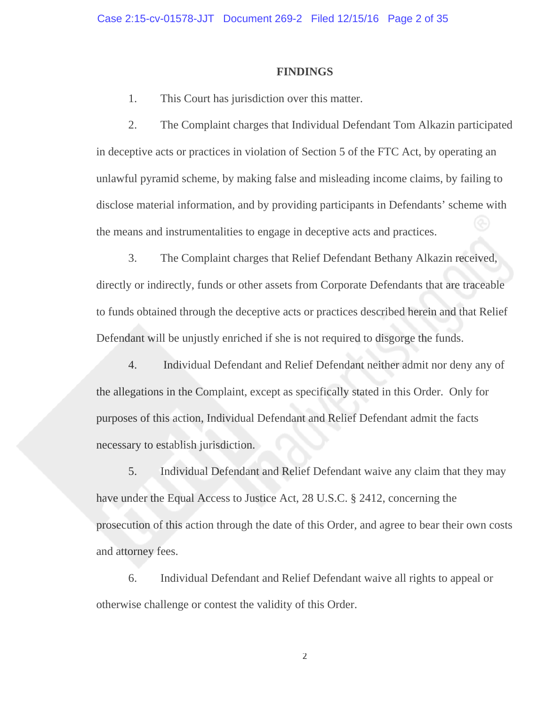#### **FINDINGS**

1. This Court has jurisdiction over this matter.

2. The Complaint charges that Individual Defendant Tom Alkazin participated in deceptive acts or practices in violation of Section 5 of the FTC Act, by operating an unlawful pyramid scheme, by making false and misleading income claims, by failing to disclose material information, and by providing participants in Defendants' scheme with the means and instrumentalities to engage in deceptive acts and practices.

3. The Complaint charges that Relief Defendant Bethany Alkazin received, directly or indirectly, funds or other assets from Corporate Defendants that are traceable to funds obtained through the deceptive acts or practices described herein and that Relief Defendant will be unjustly enriched if she is not required to disgorge the funds.

4. Individual Defendant and Relief Defendant neither admit nor deny any of the allegations in the Complaint, except as specifically stated in this Order. Only for purposes of this action, Individual Defendant and Relief Defendant admit the facts necessary to establish jurisdiction.

5. Individual Defendant and Relief Defendant waive any claim that they may have under the Equal Access to Justice Act, 28 U.S.C. § 2412, concerning the prosecution of this action through the date of this Order, and agree to bear their own costs and attorney fees.

6. Individual Defendant and Relief Defendant waive all rights to appeal or otherwise challenge or contest the validity of this Order.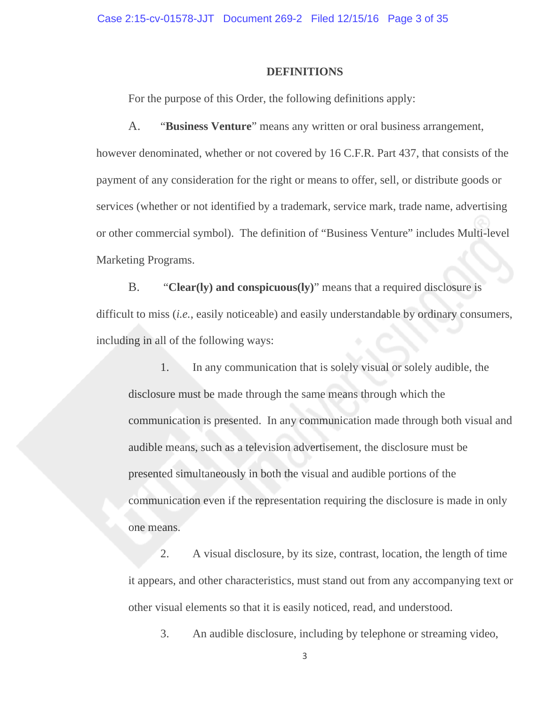#### **DEFINITIONS**

For the purpose of this Order, the following definitions apply:

A. "**Business Venture**" means any written or oral business arrangement, however denominated, whether or not covered by 16 C.F.R. Part 437, that consists of the payment of any consideration for the right or means to offer, sell, or distribute goods or services (whether or not identified by a trademark, service mark, trade name, advertising or other commercial symbol). The definition of "Business Venture" includes Multi-level Marketing Programs.

B. "**Clear(ly) and conspicuous(ly)**" means that a required disclosure is difficult to miss (*i.e.*, easily noticeable) and easily understandable by ordinary consumers, including in all of the following ways:

1. In any communication that is solely visual or solely audible, the disclosure must be made through the same means through which the communication is presented. In any communication made through both visual and audible means, such as a television advertisement, the disclosure must be presented simultaneously in both the visual and audible portions of the communication even if the representation requiring the disclosure is made in only one means.

2. A visual disclosure, by its size, contrast, location, the length of time it appears, and other characteristics, must stand out from any accompanying text or other visual elements so that it is easily noticed, read, and understood.

3. An audible disclosure, including by telephone or streaming video,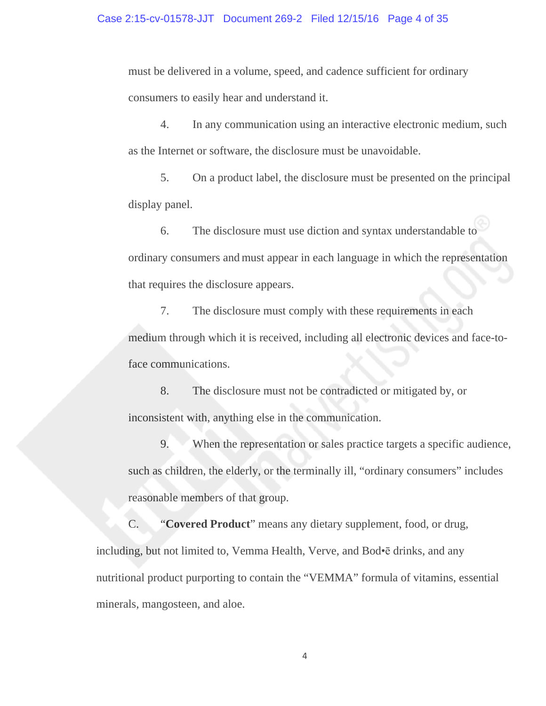must be delivered in a volume, speed, and cadence sufficient for ordinary consumers to easily hear and understand it.

4. In any communication using an interactive electronic medium, such as the Internet or software, the disclosure must be unavoidable.

5. On a product label, the disclosure must be presented on the principal display panel.

6. The disclosure must use diction and syntax understandable to ordinary consumers and must appear in each language in which the representation that requires the disclosure appears.

7. The disclosure must comply with these requirements in each medium through which it is received, including all electronic devices and face-toface communications.

8. The disclosure must not be contradicted or mitigated by, or inconsistent with, anything else in the communication.

9. When the representation or sales practice targets a specific audience, such as children, the elderly, or the terminally ill, "ordinary consumers" includes reasonable members of that group.

C. "**Covered Product**" means any dietary supplement, food, or drug, including, but not limited to, Vemma Health, Verve, and Bod•ē drinks, and any nutritional product purporting to contain the "VEMMA" formula of vitamins, essential minerals, mangosteen, and aloe.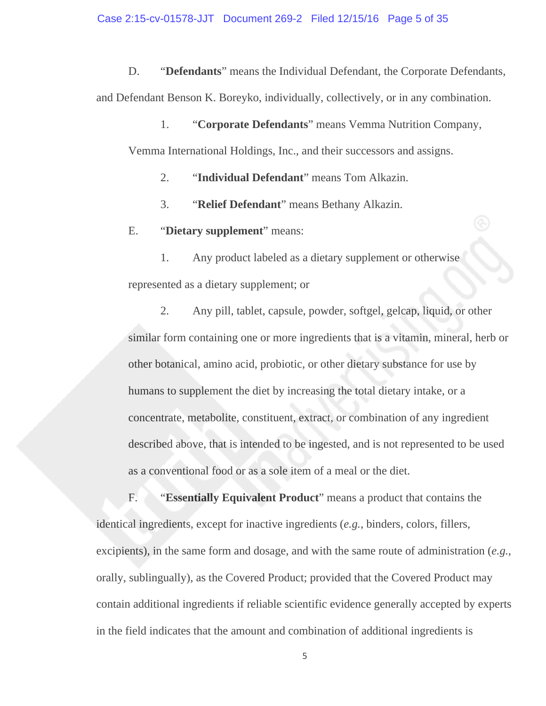D. "**Defendants**" means the Individual Defendant, the Corporate Defendants, and Defendant Benson K. Boreyko, individually, collectively, or in any combination.

1. "**Corporate Defendants**" means Vemma Nutrition Company, Vemma International Holdings, Inc., and their successors and assigns.

2. "**Individual Defendant**" means Tom Alkazin.

3. "**Relief Defendant**" means Bethany Alkazin.

E. "**Dietary supplement**" means:

1. Any product labeled as a dietary supplement or otherwise represented as a dietary supplement; or

2. Any pill, tablet, capsule, powder, softgel, gelcap, liquid, or other similar form containing one or more ingredients that is a vitamin, mineral, herb or other botanical, amino acid, probiotic, or other dietary substance for use by humans to supplement the diet by increasing the total dietary intake, or a concentrate, metabolite, constituent, extract, or combination of any ingredient described above, that is intended to be ingested, and is not represented to be used as a conventional food or as a sole item of a meal or the diet.

F. "**Essentially Equivalent Product**" means a product that contains the identical ingredients, except for inactive ingredients (*e.g.*, binders, colors, fillers, excipients), in the same form and dosage, and with the same route of administration (*e.g.*, orally, sublingually), as the Covered Product; provided that the Covered Product may contain additional ingredients if reliable scientific evidence generally accepted by experts in the field indicates that the amount and combination of additional ingredients is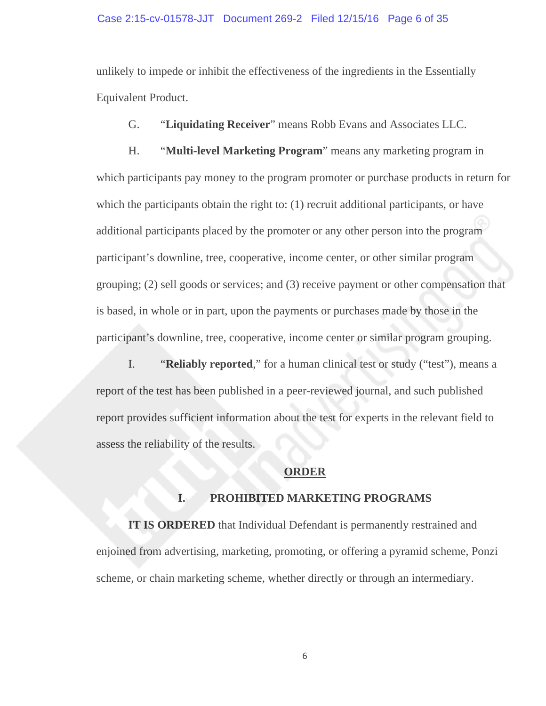#### Case 2:15-cv-01578-JJT Document 269-2 Filed 12/15/16 Page 6 of 35

unlikely to impede or inhibit the effectiveness of the ingredients in the Essentially Equivalent Product.

G. "**Liquidating Receiver**" means Robb Evans and Associates LLC.

H. "**Multi-level Marketing Program**" means any marketing program in which participants pay money to the program promoter or purchase products in return for which the participants obtain the right to: (1) recruit additional participants, or have additional participants placed by the promoter or any other person into the program participant's downline, tree, cooperative, income center, or other similar program grouping; (2) sell goods or services; and (3) receive payment or other compensation that is based, in whole or in part, upon the payments or purchases made by those in the participant's downline, tree, cooperative, income center or similar program grouping.

I. "**Reliably reported**," for a human clinical test or study ("test"), means a report of the test has been published in a peer-reviewed journal, and such published report provides sufficient information about the test for experts in the relevant field to assess the reliability of the results.

## **ORDER**

# **I. PROHIBITED MARKETING PROGRAMS**

**IT IS ORDERED** that Individual Defendant is permanently restrained and enjoined from advertising, marketing, promoting, or offering a pyramid scheme, Ponzi scheme, or chain marketing scheme, whether directly or through an intermediary.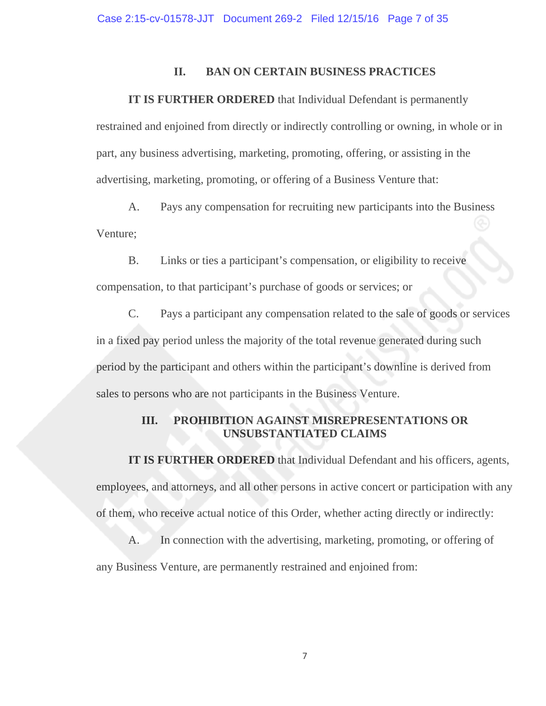## **II. BAN ON CERTAIN BUSINESS PRACTICES**

#### **IT IS FURTHER ORDERED** that Individual Defendant is permanently

restrained and enjoined from directly or indirectly controlling or owning, in whole or in part, any business advertising, marketing, promoting, offering, or assisting in the advertising, marketing, promoting, or offering of a Business Venture that:

A. Pays any compensation for recruiting new participants into the Business Venture;

B. Links or ties a participant's compensation, or eligibility to receive

compensation, to that participant's purchase of goods or services; or

C. Pays a participant any compensation related to the sale of goods or services in a fixed pay period unless the majority of the total revenue generated during such period by the participant and others within the participant's downline is derived from sales to persons who are not participants in the Business Venture.

# **III. PROHIBITION AGAINST MISREPRESENTATIONS OR UNSUBSTANTIATED CLAIMS**

 **IT IS FURTHER ORDERED** that Individual Defendant and his officers, agents, employees, and attorneys, and all other persons in active concert or participation with any of them, who receive actual notice of this Order, whether acting directly or indirectly:

A. In connection with the advertising, marketing, promoting, or offering of any Business Venture, are permanently restrained and enjoined from: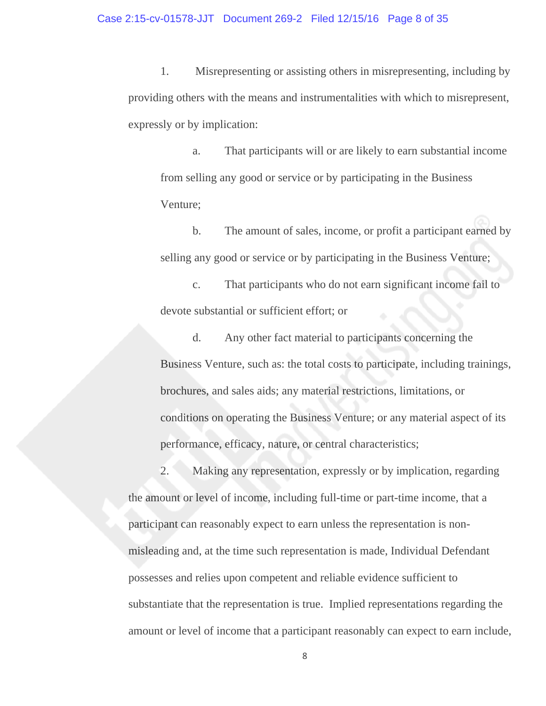1. Misrepresenting or assisting others in misrepresenting, including by providing others with the means and instrumentalities with which to misrepresent, expressly or by implication:

a. That participants will or are likely to earn substantial income from selling any good or service or by participating in the Business Venture;

 b. The amount of sales, income, or profit a participant earned by selling any good or service or by participating in the Business Venture;

c. That participants who do not earn significant income fail to devote substantial or sufficient effort; or

d. Any other fact material to participants concerning the Business Venture, such as: the total costs to participate, including trainings, brochures, and sales aids; any material restrictions, limitations, or conditions on operating the Business Venture; or any material aspect of its performance, efficacy, nature, or central characteristics;

 2. Making any representation, expressly or by implication, regarding the amount or level of income, including full-time or part-time income, that a participant can reasonably expect to earn unless the representation is nonmisleading and, at the time such representation is made, Individual Defendant possesses and relies upon competent and reliable evidence sufficient to substantiate that the representation is true. Implied representations regarding the amount or level of income that a participant reasonably can expect to earn include,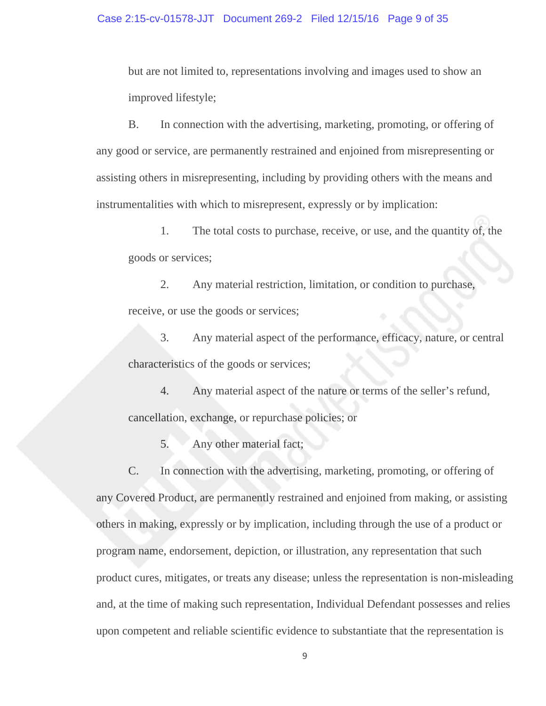but are not limited to, representations involving and images used to show an improved lifestyle;

 B. In connection with the advertising, marketing, promoting, or offering of any good or service, are permanently restrained and enjoined from misrepresenting or assisting others in misrepresenting, including by providing others with the means and instrumentalities with which to misrepresent, expressly or by implication:

1. The total costs to purchase, receive, or use, and the quantity of, the goods or services;

2. Any material restriction, limitation, or condition to purchase, receive, or use the goods or services;

3. Any material aspect of the performance, efficacy, nature, or central characteristics of the goods or services;

4. Any material aspect of the nature or terms of the seller's refund, cancellation, exchange, or repurchase policies; or

5. Any other material fact;

 C. In connection with the advertising, marketing, promoting, or offering of any Covered Product, are permanently restrained and enjoined from making, or assisting others in making, expressly or by implication, including through the use of a product or program name, endorsement, depiction, or illustration, any representation that such product cures, mitigates, or treats any disease; unless the representation is non-misleading and, at the time of making such representation, Individual Defendant possesses and relies upon competent and reliable scientific evidence to substantiate that the representation is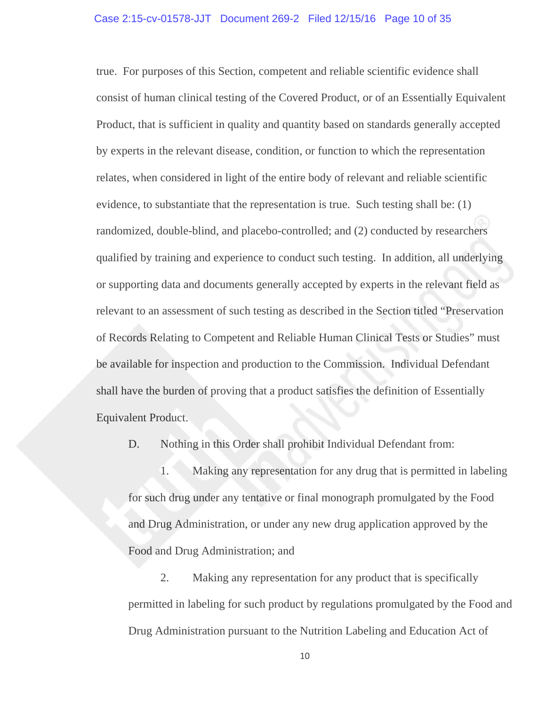true. For purposes of this Section, competent and reliable scientific evidence shall consist of human clinical testing of the Covered Product, or of an Essentially Equivalent Product, that is sufficient in quality and quantity based on standards generally accepted by experts in the relevant disease, condition, or function to which the representation relates, when considered in light of the entire body of relevant and reliable scientific evidence, to substantiate that the representation is true. Such testing shall be: (1) randomized, double-blind, and placebo-controlled; and (2) conducted by researchers qualified by training and experience to conduct such testing. In addition, all underlying or supporting data and documents generally accepted by experts in the relevant field as relevant to an assessment of such testing as described in the Section titled "Preservation of Records Relating to Competent and Reliable Human Clinical Tests or Studies" must be available for inspection and production to the Commission. Individual Defendant shall have the burden of proving that a product satisfies the definition of Essentially Equivalent Product.

D. Nothing in this Order shall prohibit Individual Defendant from:

1. Making any representation for any drug that is permitted in labeling for such drug under any tentative or final monograph promulgated by the Food and Drug Administration, or under any new drug application approved by the Food and Drug Administration; and

2. Making any representation for any product that is specifically permitted in labeling for such product by regulations promulgated by the Food and Drug Administration pursuant to the Nutrition Labeling and Education Act of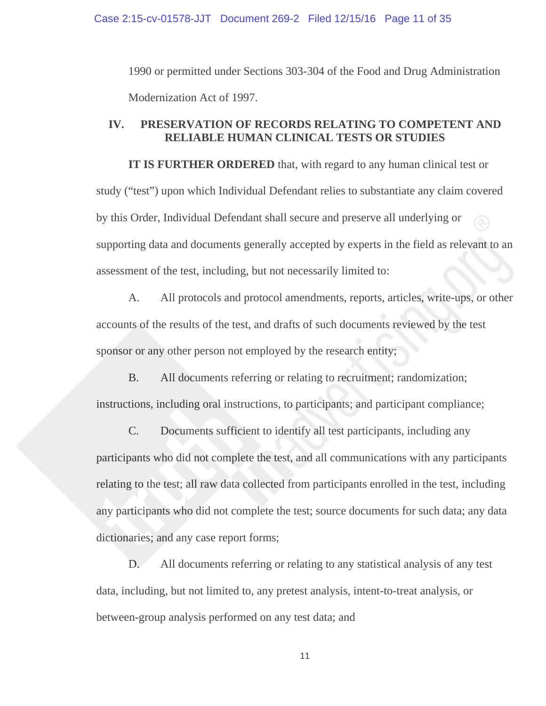Case 2:15-cv-01578-JJT Document 269-2 Filed 12/15/16 Page 11 of 35

1990 or permitted under Sections 303-304 of the Food and Drug Administration Modernization Act of 1997.

# **IV. PRESERVATION OF RECORDS RELATING TO COMPETENT AND RELIABLE HUMAN CLINICAL TESTS OR STUDIES**

**IT IS FURTHER ORDERED** that, with regard to any human clinical test or study ("test") upon which Individual Defendant relies to substantiate any claim covered by this Order, Individual Defendant shall secure and preserve all underlying or supporting data and documents generally accepted by experts in the field as relevant to an assessment of the test, including, but not necessarily limited to:

A. All protocols and protocol amendments, reports, articles, write-ups, or other accounts of the results of the test, and drafts of such documents reviewed by the test sponsor or any other person not employed by the research entity;

B. All documents referring or relating to recruitment; randomization; instructions, including oral instructions, to participants; and participant compliance;

C. Documents sufficient to identify all test participants, including any participants who did not complete the test, and all communications with any participants relating to the test; all raw data collected from participants enrolled in the test, including any participants who did not complete the test; source documents for such data; any data dictionaries; and any case report forms;

D. All documents referring or relating to any statistical analysis of any test data, including, but not limited to, any pretest analysis, intent-to-treat analysis, or between-group analysis performed on any test data; and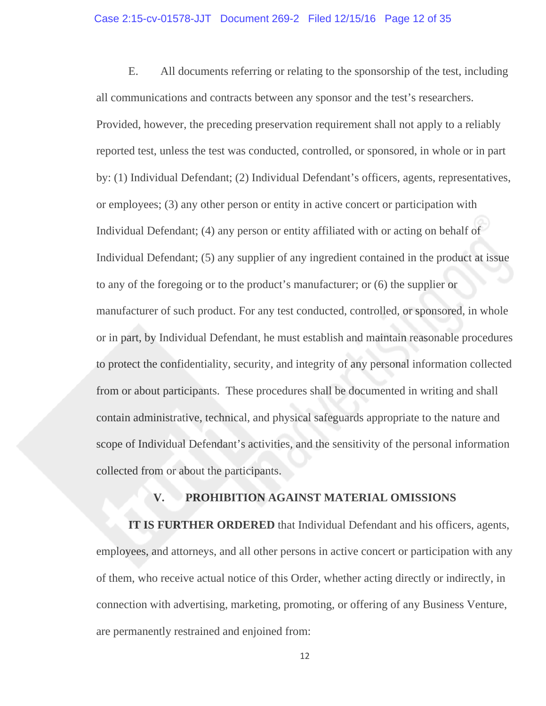#### Case 2:15-cv-01578-JJT Document 269-2 Filed 12/15/16 Page 12 of 35

E. All documents referring or relating to the sponsorship of the test, including all communications and contracts between any sponsor and the test's researchers. Provided, however, the preceding preservation requirement shall not apply to a reliably reported test, unless the test was conducted, controlled, or sponsored, in whole or in part by: (1) Individual Defendant; (2) Individual Defendant's officers, agents, representatives, or employees; (3) any other person or entity in active concert or participation with Individual Defendant; (4) any person or entity affiliated with or acting on behalf of Individual Defendant; (5) any supplier of any ingredient contained in the product at issue to any of the foregoing or to the product's manufacturer; or (6) the supplier or manufacturer of such product. For any test conducted, controlled, or sponsored, in whole or in part, by Individual Defendant, he must establish and maintain reasonable procedures to protect the confidentiality, security, and integrity of any personal information collected from or about participants. These procedures shall be documented in writing and shall contain administrative, technical, and physical safeguards appropriate to the nature and scope of Individual Defendant's activities, and the sensitivity of the personal information collected from or about the participants.

## **V. PROHIBITION AGAINST MATERIAL OMISSIONS**

 **IT IS FURTHER ORDERED** that Individual Defendant and his officers, agents, employees, and attorneys, and all other persons in active concert or participation with any of them, who receive actual notice of this Order, whether acting directly or indirectly, in connection with advertising, marketing, promoting, or offering of any Business Venture, are permanently restrained and enjoined from: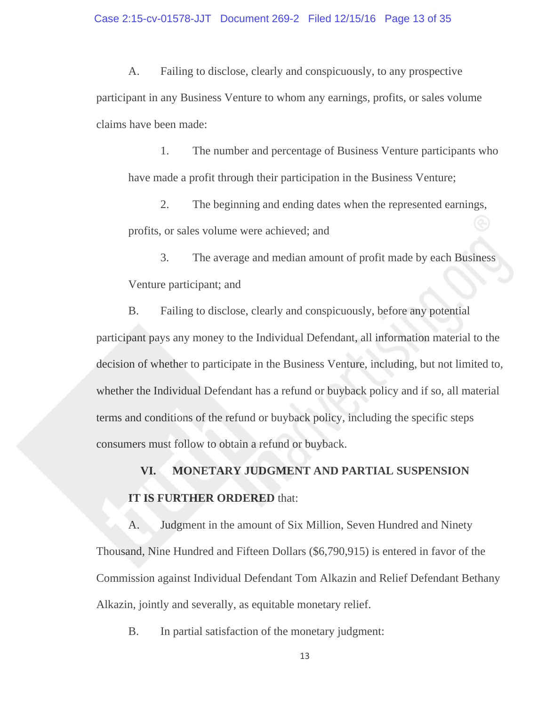A. Failing to disclose, clearly and conspicuously, to any prospective participant in any Business Venture to whom any earnings, profits, or sales volume claims have been made:

1. The number and percentage of Business Venture participants who have made a profit through their participation in the Business Venture;

 2. The beginning and ending dates when the represented earnings, profits, or sales volume were achieved; and

3. The average and median amount of profit made by each Business Venture participant; and

B. Failing to disclose, clearly and conspicuously, before any potential participant pays any money to the Individual Defendant, all information material to the decision of whether to participate in the Business Venture, including, but not limited to, whether the Individual Defendant has a refund or buyback policy and if so, all material terms and conditions of the refund or buyback policy, including the specific steps consumers must follow to obtain a refund or buyback.

**VI. MONETARY JUDGMENT AND PARTIAL SUSPENSION IT IS FURTHER ORDERED** that:

A. Judgment in the amount of Six Million, Seven Hundred and Ninety Thousand, Nine Hundred and Fifteen Dollars (\$6,790,915) is entered in favor of the Commission against Individual Defendant Tom Alkazin and Relief Defendant Bethany Alkazin, jointly and severally, as equitable monetary relief.

B. In partial satisfaction of the monetary judgment: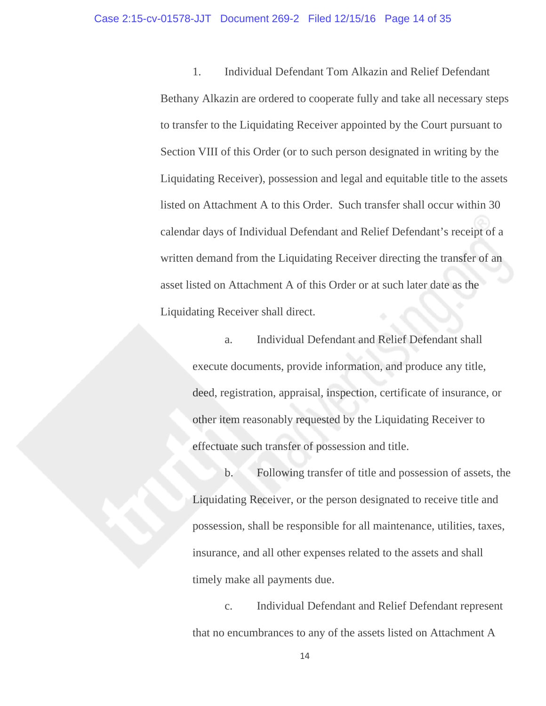1. Individual Defendant Tom Alkazin and Relief Defendant Bethany Alkazin are ordered to cooperate fully and take all necessary steps to transfer to the Liquidating Receiver appointed by the Court pursuant to Section VIII of this Order (or to such person designated in writing by the Liquidating Receiver), possession and legal and equitable title to the assets listed on Attachment A to this Order. Such transfer shall occur within 30 calendar days of Individual Defendant and Relief Defendant's receipt of a written demand from the Liquidating Receiver directing the transfer of an asset listed on Attachment A of this Order or at such later date as the Liquidating Receiver shall direct.

a. Individual Defendant and Relief Defendant shall execute documents, provide information, and produce any title, deed, registration, appraisal, inspection, certificate of insurance, or other item reasonably requested by the Liquidating Receiver to effectuate such transfer of possession and title.

b. Following transfer of title and possession of assets, the Liquidating Receiver, or the person designated to receive title and possession, shall be responsible for all maintenance, utilities, taxes, insurance, and all other expenses related to the assets and shall timely make all payments due.

c. Individual Defendant and Relief Defendant represent that no encumbrances to any of the assets listed on Attachment A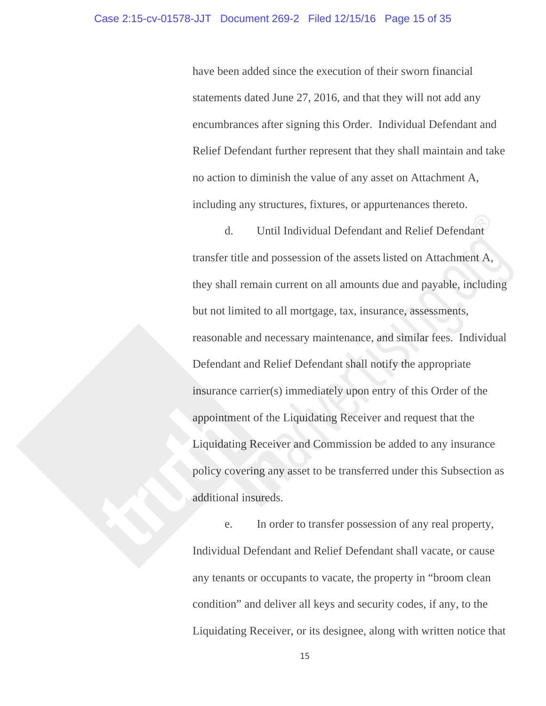have been added since the execution of their sworn financial statements dated June 27, 2016, and that they will not add any encumbrances after signing this Order. Individual Defendant and Relief Defendant further represent that they shall maintain and take no action to diminish the value of any asset on Attachment A, including any structures, fixtures, or appurtenances thereto.

d. Until Individual Defendant and Relief Defendant transfer title and possession of the assetslisted on Attachment A, they shall remain current on all amounts due and payable, including but not limited to all mortgage, tax, insurance, assessments, reasonable and necessary maintenance, and similar fees. Individual Defendant and Relief Defendant shall notify the appropriate insurance carrier(s) immediately upon entry of this Order of the appointment of the Liquidating Receiver and request that the Liquidating Receiver and Commission be added to any insurance policy covering any asset to be transferred under this Subsection as additional insureds.

e. In order to transfer possession of any real property, Individual Defendant and Relief Defendant shall vacate, or cause any tenants or occupants to vacate, the property in "broom clean condition" and deliver all keys and security codes, if any, to the Liquidating Receiver, or its designee, along with written notice that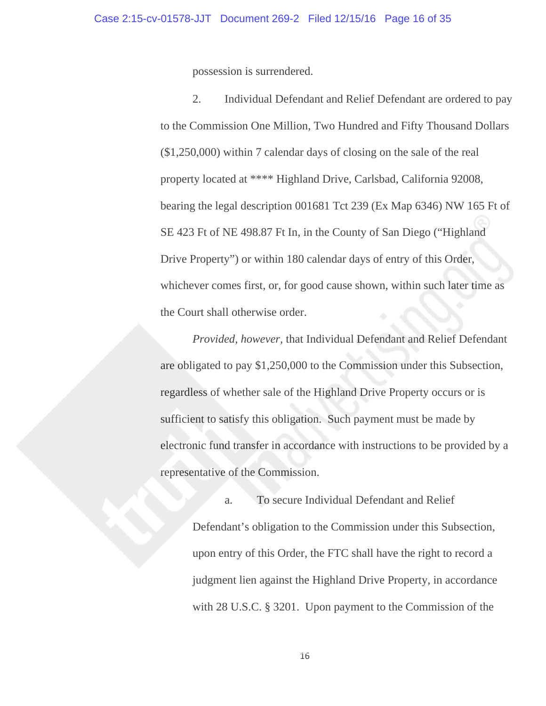possession is surrendered.

2. Individual Defendant and Relief Defendant are ordered to pay to the Commission One Million, Two Hundred and Fifty Thousand Dollars (\$1,250,000) within 7 calendar days of closing on the sale of the real property located at \*\*\*\* Highland Drive, Carlsbad, California 92008, bearing the legal description 001681 Tct 239 (Ex Map 6346) NW 165 Ft of SE 423 Ft of NE 498.87 Ft In, in the County of San Diego ("Highland Drive Property") or within 180 calendar days of entry of this Order, whichever comes first, or, for good cause shown, within such later time as the Court shall otherwise order.

*Provided, however,* that Individual Defendant and Relief Defendant are obligated to pay \$1,250,000 to the Commission under this Subsection, regardless of whether sale of the Highland Drive Property occurs or is sufficient to satisfy this obligation. Such payment must be made by electronic fund transfer in accordance with instructions to be provided by a representative of the Commission.

a. To secure Individual Defendant and Relief Defendant's obligation to the Commission under this Subsection, upon entry of this Order, the FTC shall have the right to record a judgment lien against the Highland Drive Property, in accordance with 28 U.S.C. § 3201. Upon payment to the Commission of the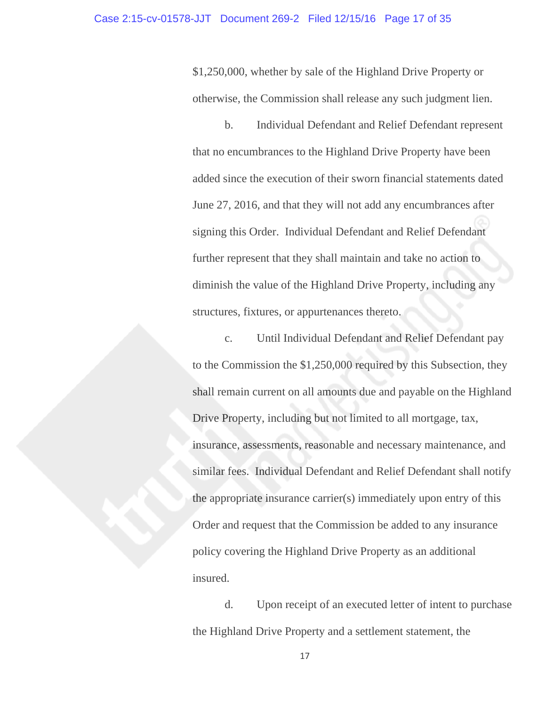\$1,250,000, whether by sale of the Highland Drive Property or otherwise, the Commission shall release any such judgment lien.

b. Individual Defendant and Relief Defendant represent that no encumbrances to the Highland Drive Property have been added since the execution of their sworn financial statements dated June 27, 2016, and that they will not add any encumbrances after signing this Order. Individual Defendant and Relief Defendant further represent that they shall maintain and take no action to diminish the value of the Highland Drive Property, including any structures, fixtures, or appurtenances thereto.

c. Until Individual Defendant and Relief Defendant pay to the Commission the \$1,250,000 required by this Subsection, they shall remain current on all amounts due and payable on the Highland Drive Property, including but not limited to all mortgage, tax, insurance, assessments, reasonable and necessary maintenance, and similar fees. Individual Defendant and Relief Defendant shall notify the appropriate insurance carrier(s) immediately upon entry of this Order and request that the Commission be added to any insurance policy covering the Highland Drive Property as an additional insured.

d. Upon receipt of an executed letter of intent to purchase the Highland Drive Property and a settlement statement, the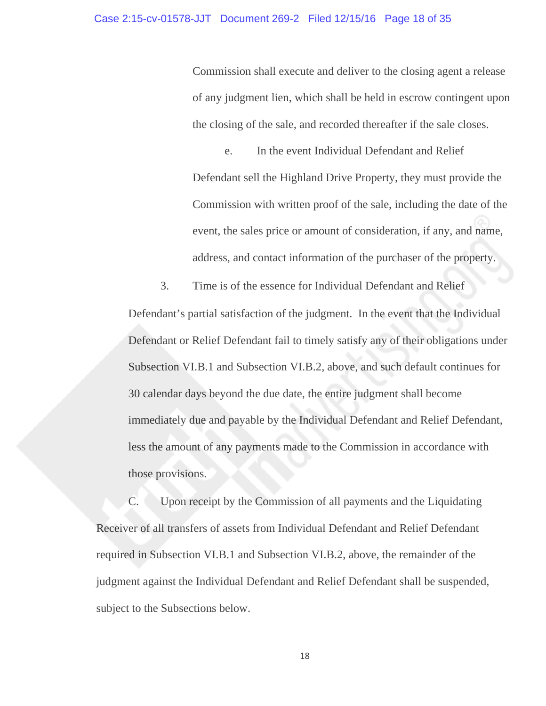Commission shall execute and deliver to the closing agent a release of any judgment lien, which shall be held in escrow contingent upon the closing of the sale, and recorded thereafter if the sale closes.

e. In the event Individual Defendant and Relief Defendant sell the Highland Drive Property, they must provide the Commission with written proof of the sale, including the date of the event, the sales price or amount of consideration, if any, and name, address, and contact information of the purchaser of the property.

3. Time is of the essence for Individual Defendant and Relief Defendant's partial satisfaction of the judgment. In the event that the Individual Defendant or Relief Defendant fail to timely satisfy any of their obligations under Subsection VI.B.1 and Subsection VI.B.2, above, and such default continues for 30 calendar days beyond the due date, the entire judgment shall become immediately due and payable by the Individual Defendant and Relief Defendant, less the amount of any payments made to the Commission in accordance with those provisions.

C. Upon receipt by the Commission of all payments and the Liquidating Receiver of all transfers of assets from Individual Defendant and Relief Defendant required in Subsection VI.B.1 and Subsection VI.B.2, above, the remainder of the judgment against the Individual Defendant and Relief Defendant shall be suspended, subject to the Subsections below.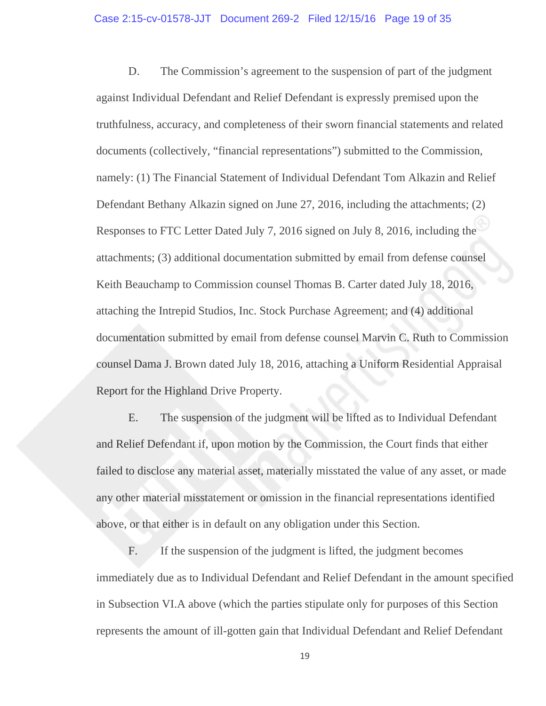D. The Commission's agreement to the suspension of part of the judgment against Individual Defendant and Relief Defendant is expressly premised upon the truthfulness, accuracy, and completeness of their sworn financial statements and related documents (collectively, "financial representations") submitted to the Commission, namely: (1) The Financial Statement of Individual Defendant Tom Alkazin and Relief Defendant Bethany Alkazin signed on June 27, 2016, including the attachments; (2) Responses to FTC Letter Dated July 7, 2016 signed on July 8, 2016, including the attachments; (3) additional documentation submitted by email from defense counsel Keith Beauchamp to Commission counsel Thomas B. Carter dated July 18, 2016, attaching the Intrepid Studios, Inc. Stock Purchase Agreement; and (4) additional documentation submitted by email from defense counsel Marvin C. Ruth to Commission counsel Dama J. Brown dated July 18, 2016, attaching a Uniform Residential Appraisal Report for the Highland Drive Property.

E. The suspension of the judgment will be lifted as to Individual Defendant and Relief Defendant if, upon motion by the Commission, the Court finds that either failed to disclose any material asset, materially misstated the value of any asset, or made any other material misstatement or omission in the financial representations identified above, or that either is in default on any obligation under this Section.

F. If the suspension of the judgment is lifted, the judgment becomes immediately due as to Individual Defendant and Relief Defendant in the amount specified in Subsection VI.A above (which the parties stipulate only for purposes of this Section represents the amount of ill-gotten gain that Individual Defendant and Relief Defendant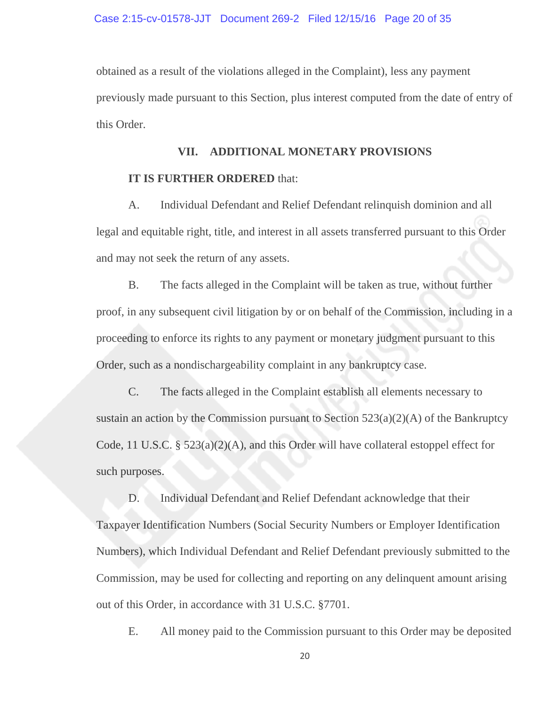obtained as a result of the violations alleged in the Complaint), less any payment previously made pursuant to this Section, plus interest computed from the date of entry of this Order.

# **VII. ADDITIONAL MONETARY PROVISIONS IT IS FURTHER ORDERED** that:

A. Individual Defendant and Relief Defendant relinquish dominion and all legal and equitable right, title, and interest in all assets transferred pursuant to this Order and may not seek the return of any assets.

B. The facts alleged in the Complaint will be taken as true, without further proof, in any subsequent civil litigation by or on behalf of the Commission, including in a proceeding to enforce its rights to any payment or monetary judgment pursuant to this Order, such as a nondischargeability complaint in any bankruptcy case.

C. The facts alleged in the Complaint establish all elements necessary to sustain an action by the Commission pursuant to Section  $523(a)(2)(A)$  of the Bankruptcy Code, 11 U.S.C. § 523(a)(2)(A), and this Order will have collateral estoppel effect for such purposes.

D. Individual Defendant and Relief Defendant acknowledge that their Taxpayer Identification Numbers (Social Security Numbers or Employer Identification Numbers), which Individual Defendant and Relief Defendant previously submitted to the Commission, may be used for collecting and reporting on any delinquent amount arising out of this Order, in accordance with 31 U.S.C. §7701.

E. All money paid to the Commission pursuant to this Order may be deposited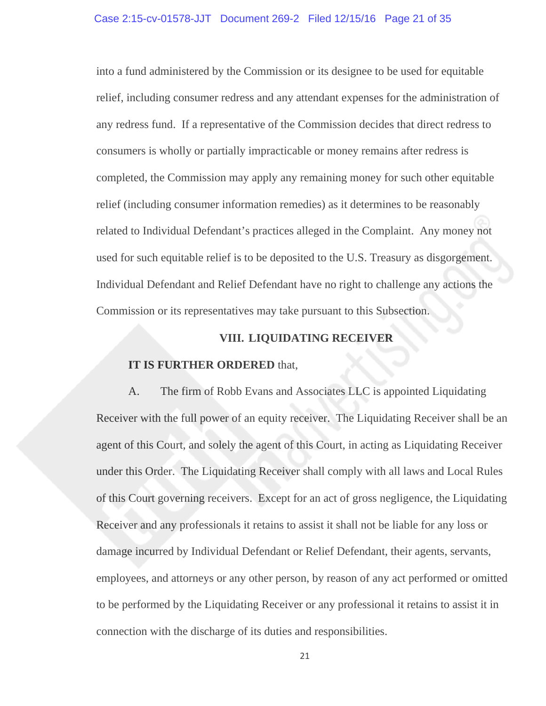into a fund administered by the Commission or its designee to be used for equitable relief, including consumer redress and any attendant expenses for the administration of any redress fund. If a representative of the Commission decides that direct redress to consumers is wholly or partially impracticable or money remains after redress is completed, the Commission may apply any remaining money for such other equitable relief (including consumer information remedies) as it determines to be reasonably related to Individual Defendant's practices alleged in the Complaint. Any money not used for such equitable relief is to be deposited to the U.S. Treasury as disgorgement. Individual Defendant and Relief Defendant have no right to challenge any actions the Commission or its representatives may take pursuant to this Subsection.

# **VIII. LIQUIDATING RECEIVER**

#### **IT IS FURTHER ORDERED** that,

 A. The firm of Robb Evans and Associates LLC is appointed Liquidating Receiver with the full power of an equity receiver. The Liquidating Receiver shall be an agent of this Court, and solely the agent of this Court, in acting as Liquidating Receiver under this Order. The Liquidating Receiver shall comply with all laws and Local Rules of this Court governing receivers. Except for an act of gross negligence, the Liquidating Receiver and any professionals it retains to assist it shall not be liable for any loss or damage incurred by Individual Defendant or Relief Defendant, their agents, servants, employees, and attorneys or any other person, by reason of any act performed or omitted to be performed by the Liquidating Receiver or any professional it retains to assist it in connection with the discharge of its duties and responsibilities.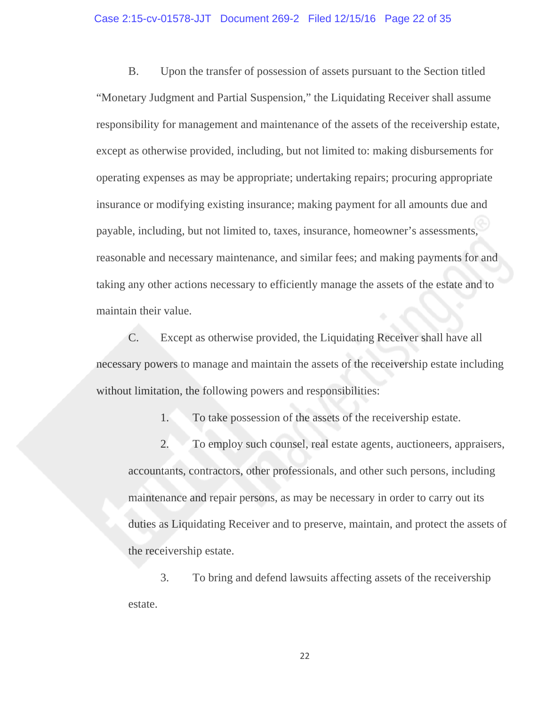#### Case 2:15-cv-01578-JJT Document 269-2 Filed 12/15/16 Page 22 of 35

 B. Upon the transfer of possession of assets pursuant to the Section titled "Monetary Judgment and Partial Suspension," the Liquidating Receiver shall assume responsibility for management and maintenance of the assets of the receivership estate, except as otherwise provided, including, but not limited to: making disbursements for operating expenses as may be appropriate; undertaking repairs; procuring appropriate insurance or modifying existing insurance; making payment for all amounts due and payable, including, but not limited to, taxes, insurance, homeowner's assessments, reasonable and necessary maintenance, and similar fees; and making payments for and taking any other actions necessary to efficiently manage the assets of the estate and to maintain their value.

 C. Except as otherwise provided, the Liquidating Receiver shall have all necessary powers to manage and maintain the assets of the receivership estate including without limitation, the following powers and responsibilities:

1. To take possession of the assets of the receivership estate.

 2. To employ such counsel, real estate agents, auctioneers, appraisers, accountants, contractors, other professionals, and other such persons, including maintenance and repair persons, as may be necessary in order to carry out its duties as Liquidating Receiver and to preserve, maintain, and protect the assets of the receivership estate.

 3. To bring and defend lawsuits affecting assets of the receivership estate.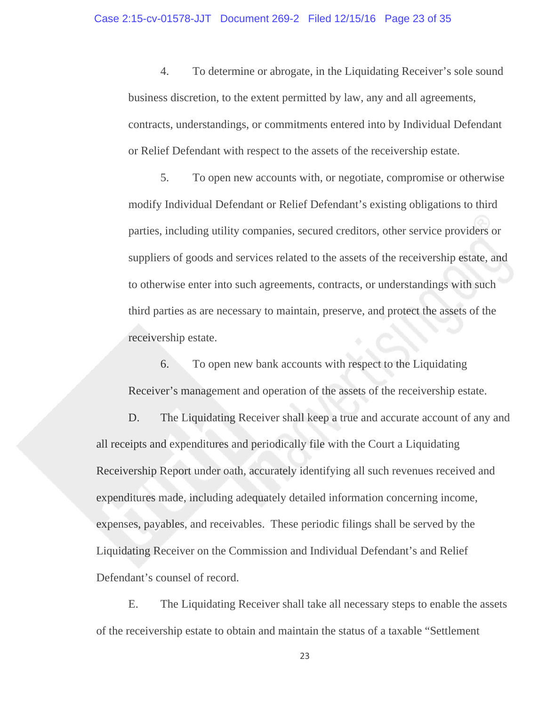4. To determine or abrogate, in the Liquidating Receiver's sole sound business discretion, to the extent permitted by law, any and all agreements, contracts, understandings, or commitments entered into by Individual Defendant or Relief Defendant with respect to the assets of the receivership estate.

 5. To open new accounts with, or negotiate, compromise or otherwise modify Individual Defendant or Relief Defendant's existing obligations to third parties, including utility companies, secured creditors, other service providers or suppliers of goods and services related to the assets of the receivership estate, and to otherwise enter into such agreements, contracts, or understandings with such third parties as are necessary to maintain, preserve, and protect the assets of the receivership estate.

 6. To open new bank accounts with respect to the Liquidating Receiver's management and operation of the assets of the receivership estate.

 D. The Liquidating Receiver shall keep a true and accurate account of any and all receipts and expenditures and periodically file with the Court a Liquidating Receivership Report under oath, accurately identifying all such revenues received and expenditures made, including adequately detailed information concerning income, expenses, payables, and receivables. These periodic filings shall be served by the Liquidating Receiver on the Commission and Individual Defendant's and Relief Defendant's counsel of record.

 E. The Liquidating Receiver shall take all necessary steps to enable the assets of the receivership estate to obtain and maintain the status of a taxable "Settlement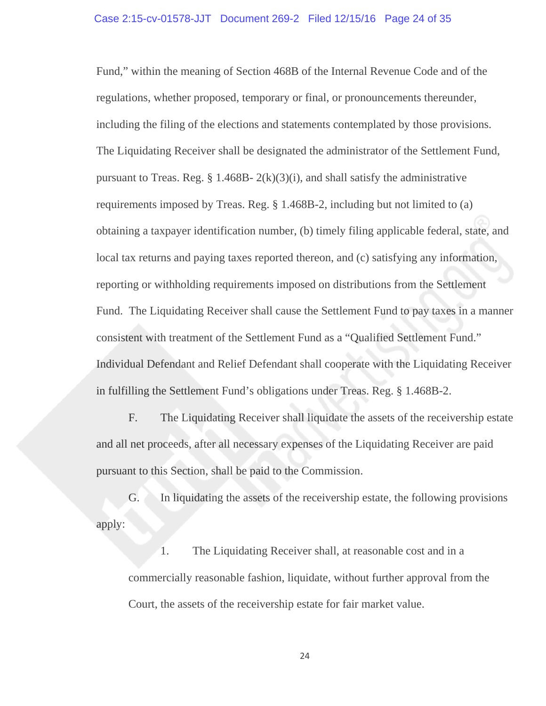Fund," within the meaning of Section 468B of the Internal Revenue Code and of the regulations, whether proposed, temporary or final, or pronouncements thereunder, including the filing of the elections and statements contemplated by those provisions. The Liquidating Receiver shall be designated the administrator of the Settlement Fund, pursuant to Treas. Reg.  $\S$  1.468B- 2(k)(3)(i), and shall satisfy the administrative requirements imposed by Treas. Reg. § 1.468B-2, including but not limited to (a) obtaining a taxpayer identification number, (b) timely filing applicable federal, state, and local tax returns and paying taxes reported thereon, and (c) satisfying any information, reporting or withholding requirements imposed on distributions from the Settlement Fund. The Liquidating Receiver shall cause the Settlement Fund to pay taxes in a manner consistent with treatment of the Settlement Fund as a "Qualified Settlement Fund." Individual Defendant and Relief Defendant shall cooperate with the Liquidating Receiver in fulfilling the Settlement Fund's obligations under Treas. Reg. § 1.468B-2.

 F. The Liquidating Receiver shall liquidate the assets of the receivership estate and all net proceeds, after all necessary expenses of the Liquidating Receiver are paid pursuant to this Section, shall be paid to the Commission.

 G. In liquidating the assets of the receivership estate, the following provisions apply:

 1. The Liquidating Receiver shall, at reasonable cost and in a commercially reasonable fashion, liquidate, without further approval from the Court, the assets of the receivership estate for fair market value.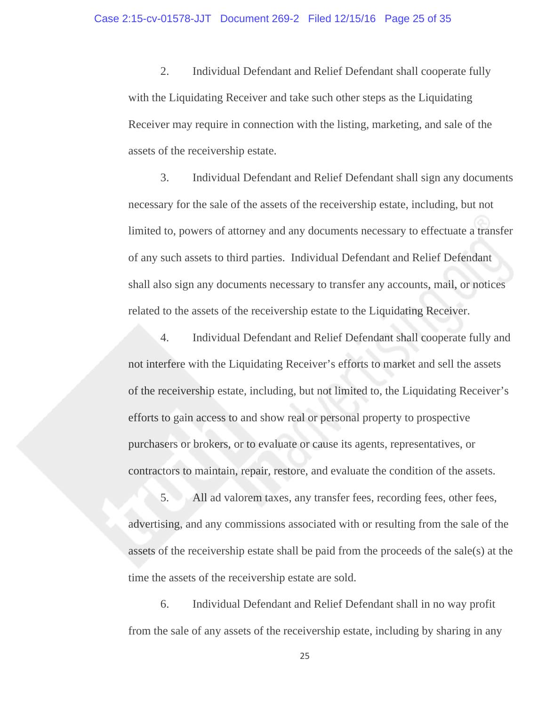2. Individual Defendant and Relief Defendant shall cooperate fully with the Liquidating Receiver and take such other steps as the Liquidating Receiver may require in connection with the listing, marketing, and sale of the assets of the receivership estate.

 3. Individual Defendant and Relief Defendant shall sign any documents necessary for the sale of the assets of the receivership estate, including, but not limited to, powers of attorney and any documents necessary to effectuate a transfer of any such assets to third parties. Individual Defendant and Relief Defendant shall also sign any documents necessary to transfer any accounts, mail, or notices related to the assets of the receivership estate to the Liquidating Receiver.

 4. Individual Defendant and Relief Defendant shall cooperate fully and not interfere with the Liquidating Receiver's efforts to market and sell the assets of the receivership estate, including, but not limited to, the Liquidating Receiver's efforts to gain access to and show real or personal property to prospective purchasers or brokers, or to evaluate or cause its agents, representatives, or contractors to maintain, repair, restore, and evaluate the condition of the assets.

 5. All ad valorem taxes, any transfer fees, recording fees, other fees, advertising, and any commissions associated with or resulting from the sale of the assets of the receivership estate shall be paid from the proceeds of the sale(s) at the time the assets of the receivership estate are sold.

 6. Individual Defendant and Relief Defendant shall in no way profit from the sale of any assets of the receivership estate, including by sharing in any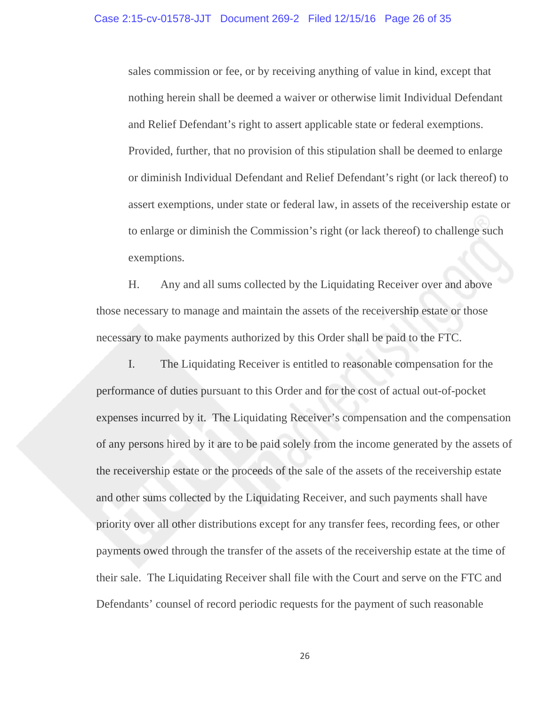sales commission or fee, or by receiving anything of value in kind, except that nothing herein shall be deemed a waiver or otherwise limit Individual Defendant and Relief Defendant's right to assert applicable state or federal exemptions. Provided, further, that no provision of this stipulation shall be deemed to enlarge or diminish Individual Defendant and Relief Defendant's right (or lack thereof) to assert exemptions, under state or federal law, in assets of the receivership estate or to enlarge or diminish the Commission's right (or lack thereof) to challenge such exemptions.

 H. Any and all sums collected by the Liquidating Receiver over and above those necessary to manage and maintain the assets of the receivership estate or those necessary to make payments authorized by this Order shall be paid to the FTC.

 I. The Liquidating Receiver is entitled to reasonable compensation for the performance of duties pursuant to this Order and for the cost of actual out-of-pocket expenses incurred by it. The Liquidating Receiver's compensation and the compensation of any persons hired by it are to be paid solely from the income generated by the assets of the receivership estate or the proceeds of the sale of the assets of the receivership estate and other sums collected by the Liquidating Receiver, and such payments shall have priority over all other distributions except for any transfer fees, recording fees, or other payments owed through the transfer of the assets of the receivership estate at the time of their sale. The Liquidating Receiver shall file with the Court and serve on the FTC and Defendants' counsel of record periodic requests for the payment of such reasonable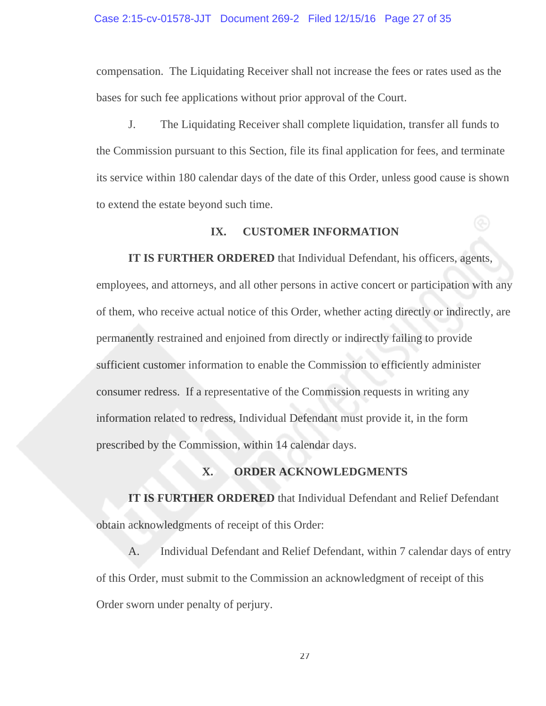#### Case 2:15-cv-01578-JJT Document 269-2 Filed 12/15/16 Page 27 of 35

compensation. The Liquidating Receiver shall not increase the fees or rates used as the bases for such fee applications without prior approval of the Court.

 J. The Liquidating Receiver shall complete liquidation, transfer all funds to the Commission pursuant to this Section, file its final application for fees, and terminate its service within 180 calendar days of the date of this Order, unless good cause is shown to extend the estate beyond such time.

### **IX. CUSTOMER INFORMATION**

**IT IS FURTHER ORDERED** that Individual Defendant, his officers, agents, employees, and attorneys, and all other persons in active concert or participation with any of them, who receive actual notice of this Order, whether acting directly or indirectly, are permanently restrained and enjoined from directly or indirectly failing to provide sufficient customer information to enable the Commission to efficiently administer consumer redress. If a representative of the Commission requests in writing any information related to redress, Individual Defendant must provide it, in the form prescribed by the Commission, within 14 calendar days.

# **X. ORDER ACKNOWLEDGMENTS**

**IT IS FURTHER ORDERED** that Individual Defendant and Relief Defendant obtain acknowledgments of receipt of this Order:

A. Individual Defendant and Relief Defendant, within 7 calendar days of entry of this Order, must submit to the Commission an acknowledgment of receipt of this Order sworn under penalty of perjury.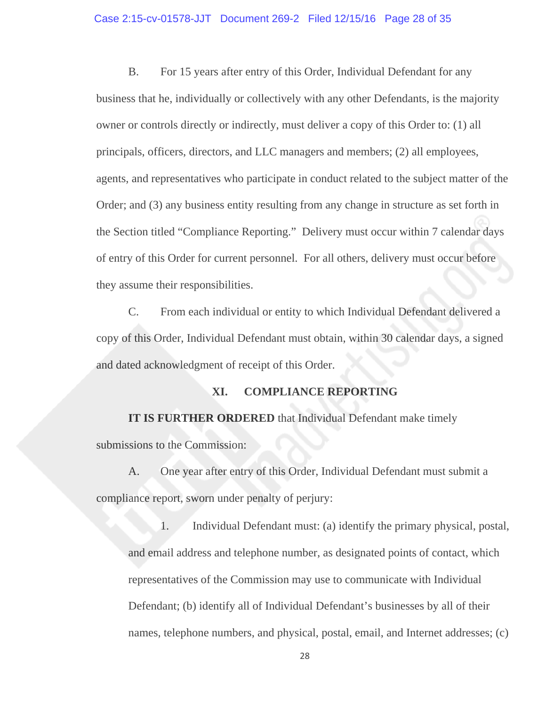B. For 15 years after entry of this Order, Individual Defendant for any business that he, individually or collectively with any other Defendants, is the majority owner or controls directly or indirectly, must deliver a copy of this Order to: (1) all principals, officers, directors, and LLC managers and members; (2) all employees, agents, and representatives who participate in conduct related to the subject matter of the Order; and (3) any business entity resulting from any change in structure as set forth in the Section titled "Compliance Reporting." Delivery must occur within 7 calendar days of entry of this Order for current personnel. For all others, delivery must occur before they assume their responsibilities.

C. From each individual or entity to which Individual Defendant delivered a copy of this Order, Individual Defendant must obtain, within 30 calendar days, a signed and dated acknowledgment of receipt of this Order.

#### **XI. COMPLIANCE REPORTING**

**IT IS FURTHER ORDERED** that Individual Defendant make timely submissions to the Commission:

A. One year after entry of this Order, Individual Defendant must submit a compliance report, sworn under penalty of perjury:

1. Individual Defendant must: (a) identify the primary physical, postal, and email address and telephone number, as designated points of contact, which representatives of the Commission may use to communicate with Individual Defendant; (b) identify all of Individual Defendant's businesses by all of their names, telephone numbers, and physical, postal, email, and Internet addresses; (c)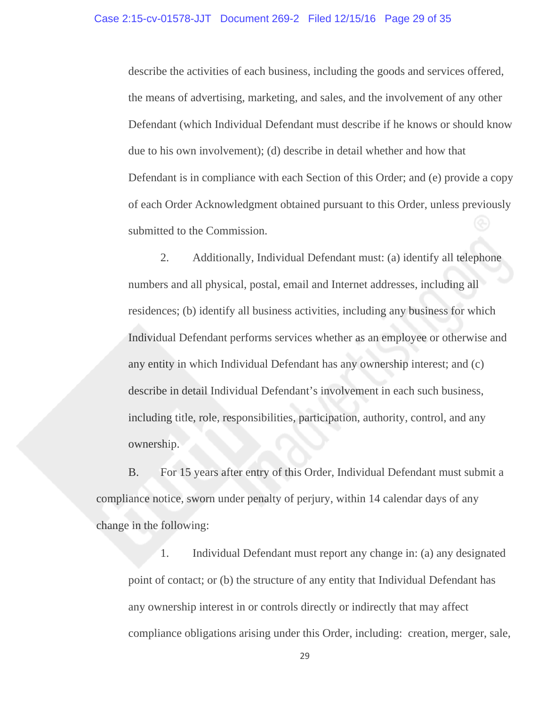describe the activities of each business, including the goods and services offered, the means of advertising, marketing, and sales, and the involvement of any other Defendant (which Individual Defendant must describe if he knows or should know due to his own involvement); (d) describe in detail whether and how that Defendant is in compliance with each Section of this Order; and (e) provide a copy of each Order Acknowledgment obtained pursuant to this Order, unless previously submitted to the Commission.

2. Additionally, Individual Defendant must: (a) identify all telephone numbers and all physical, postal, email and Internet addresses, including all residences; (b) identify all business activities, including any business for which Individual Defendant performs services whether as an employee or otherwise and any entity in which Individual Defendant has any ownership interest; and (c) describe in detail Individual Defendant's involvement in each such business, including title, role, responsibilities, participation, authority, control, and any ownership.

B. For 15 years after entry of this Order, Individual Defendant must submit a compliance notice, sworn under penalty of perjury, within 14 calendar days of any change in the following:

 1. Individual Defendant must report any change in: (a) any designated point of contact; or (b) the structure of any entity that Individual Defendant has any ownership interest in or controls directly or indirectly that may affect compliance obligations arising under this Order, including: creation, merger, sale,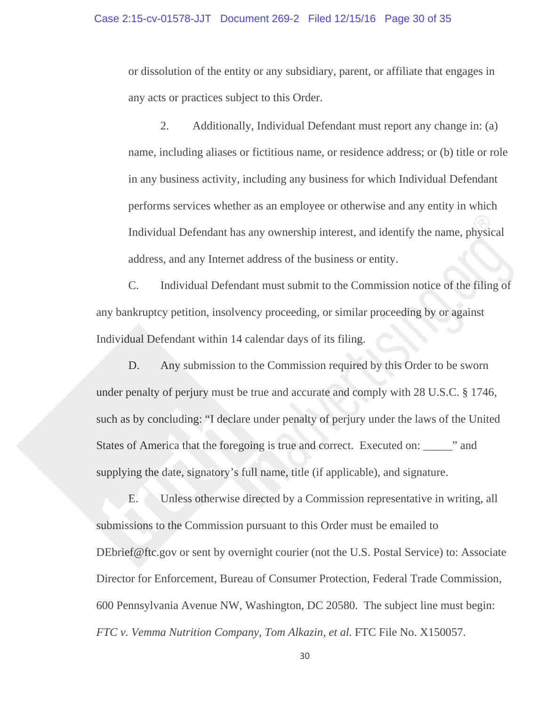or dissolution of the entity or any subsidiary, parent, or affiliate that engages in any acts or practices subject to this Order.

 2. Additionally, Individual Defendant must report any change in: (a) name, including aliases or fictitious name, or residence address; or (b) title or role in any business activity, including any business for which Individual Defendant performs services whether as an employee or otherwise and any entity in which Individual Defendant has any ownership interest, and identify the name, physical address, and any Internet address of the business or entity.

C. Individual Defendant must submit to the Commission notice of the filing of any bankruptcy petition, insolvency proceeding, or similar proceeding by or against Individual Defendant within 14 calendar days of its filing.

D. Any submission to the Commission required by this Order to be sworn under penalty of perjury must be true and accurate and comply with 28 U.S.C. § 1746, such as by concluding: "I declare under penalty of perjury under the laws of the United States of America that the foregoing is true and correct. Executed on: \_\_\_\_\_" and supplying the date, signatory's full name, title (if applicable), and signature.

E. Unless otherwise directed by a Commission representative in writing, all submissions to the Commission pursuant to this Order must be emailed to DEbrief@ftc.gov or sent by overnight courier (not the U.S. Postal Service) to: Associate Director for Enforcement, Bureau of Consumer Protection, Federal Trade Commission, 600 Pennsylvania Avenue NW, Washington, DC 20580. The subject line must begin: *FTC v. Vemma Nutrition Company, Tom Alkazin, et al*. FTC File No. X150057.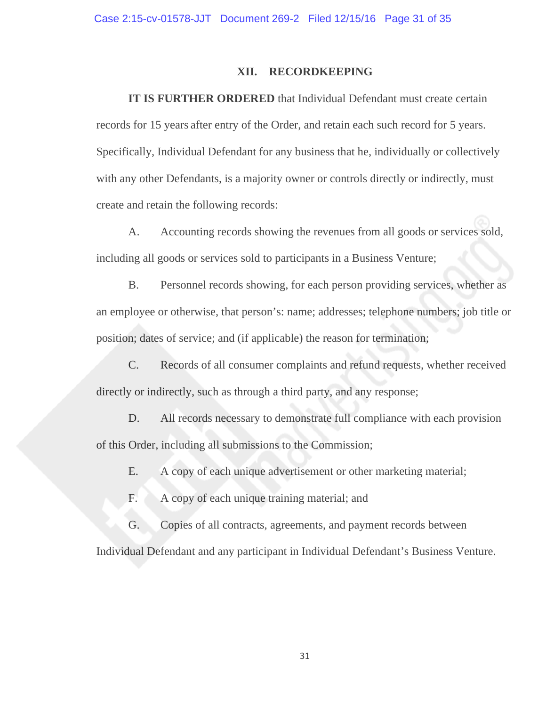#### **XII. RECORDKEEPING**

**IT IS FURTHER ORDERED** that Individual Defendant must create certain records for 15 years after entry of the Order, and retain each such record for 5 years. Specifically, Individual Defendant for any business that he, individually or collectively with any other Defendants, is a majority owner or controls directly or indirectly, must create and retain the following records:

A. Accounting records showing the revenues from all goods or services sold, including all goods or services sold to participants in a Business Venture;

B. Personnel records showing, for each person providing services, whether as an employee or otherwise, that person's: name; addresses; telephone numbers; job title or position; dates of service; and (if applicable) the reason for termination;

C. Records of all consumer complaints and refund requests, whether received directly or indirectly, such as through a third party, and any response;

D. All records necessary to demonstrate full compliance with each provision of this Order, including all submissions to the Commission;

E. A copy of each unique advertisement or other marketing material;

- F. A copy of each unique training material; and
- G. Copies of all contracts, agreements, and payment records between

Individual Defendant and any participant in Individual Defendant's Business Venture.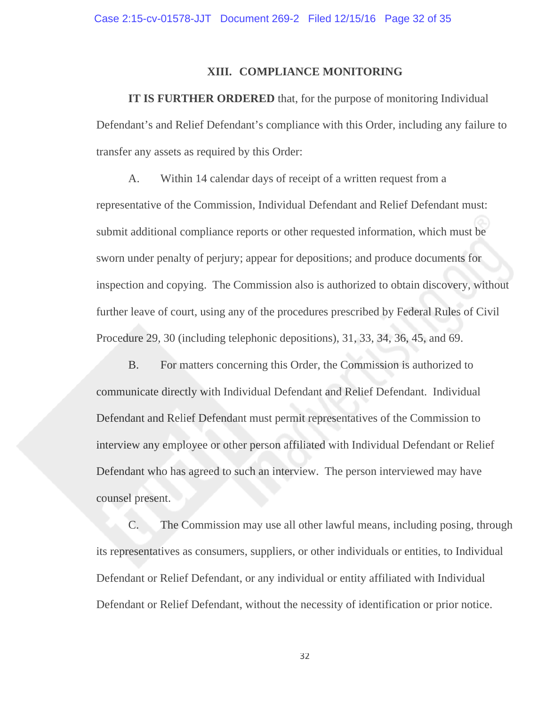#### **XIII. COMPLIANCE MONITORING**

**IT IS FURTHER ORDERED** that, for the purpose of monitoring Individual Defendant's and Relief Defendant's compliance with this Order, including any failure to transfer any assets as required by this Order:

A. Within 14 calendar days of receipt of a written request from a representative of the Commission, Individual Defendant and Relief Defendant must: submit additional compliance reports or other requested information, which must be sworn under penalty of perjury; appear for depositions; and produce documents for inspection and copying. The Commission also is authorized to obtain discovery, without further leave of court, using any of the procedures prescribed by Federal Rules of Civil Procedure 29, 30 (including telephonic depositions), 31, 33, 34, 36, 45, and 69.

B. For matters concerning this Order, the Commission is authorized to communicate directly with Individual Defendant and Relief Defendant. Individual Defendant and Relief Defendant must permit representatives of the Commission to interview any employee or other person affiliated with Individual Defendant or Relief Defendant who has agreed to such an interview. The person interviewed may have counsel present.

C. The Commission may use all other lawful means, including posing, through its representatives as consumers, suppliers, or other individuals or entities, to Individual Defendant or Relief Defendant, or any individual or entity affiliated with Individual Defendant or Relief Defendant, without the necessity of identification or prior notice.

32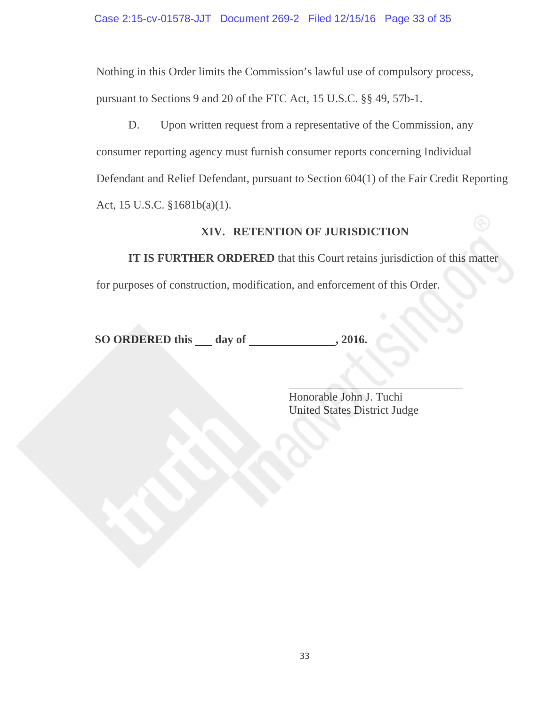Nothing in this Order limits the Commission's lawful use of compulsory process, pursuant to Sections 9 and 20 of the FTC Act, 15 U.S.C. §§ 49, 57b-1.

D. Upon written request from a representative of the Commission, any consumer reporting agency must furnish consumer reports concerning Individual Defendant and Relief Defendant, pursuant to Section 604(1) of the Fair Credit Reporting Act, 15 U.S.C. §1681b(a)(1).

# **XIV. RETENTION OF JURISDICTION**

**IT IS FURTHER ORDERED** that this Court retains jurisdiction of this matter

for purposes of construction, modification, and enforcement of this Order.

**SO ORDERED this \_\_ day of \_\_\_\_\_\_\_\_\_\_\_\_\_\_, 2016.** 

 $\mathcal{L}_\mathcal{L}$  , which is the contract of the contract of the contract of the contract of the contract of the contract of the contract of the contract of the contract of the contract of the contract of the contract of the Honorable John J. Tuchi United States District Judge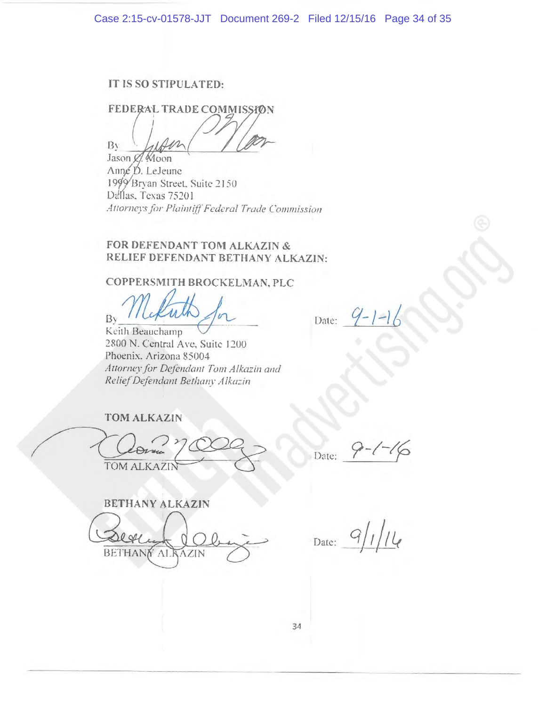## IT IS SO STIPULATED:

FEDERAL TRADE COMMISSION Bv

Jason C. Moon Anne D. LeJeune 1999 Bryan Street, Suite 2150 Dellas, Texas 75201 Attorneys for Plaintiff Federal Trade Commission

## FOR DEFENDANT TOM ALKAZIN & RELIEF DEFENDANT BETHANY ALKAZIN:

## COPPERSMITH BROCKELMAN, PLC

By

Keith Beauchamp 2800 N. Central Ave, Suite 1200 Phoenix. Arizona 85004 Attorney for Defendant Tom Alkazin and Relief Defendant Bethany Alkazin

Date:

**TOM ALKAZIN** 

TOM ALKAZIN

Date:

**BETHANY ALKAZIN** BETHAN AI

 $9/1/14$ Date: